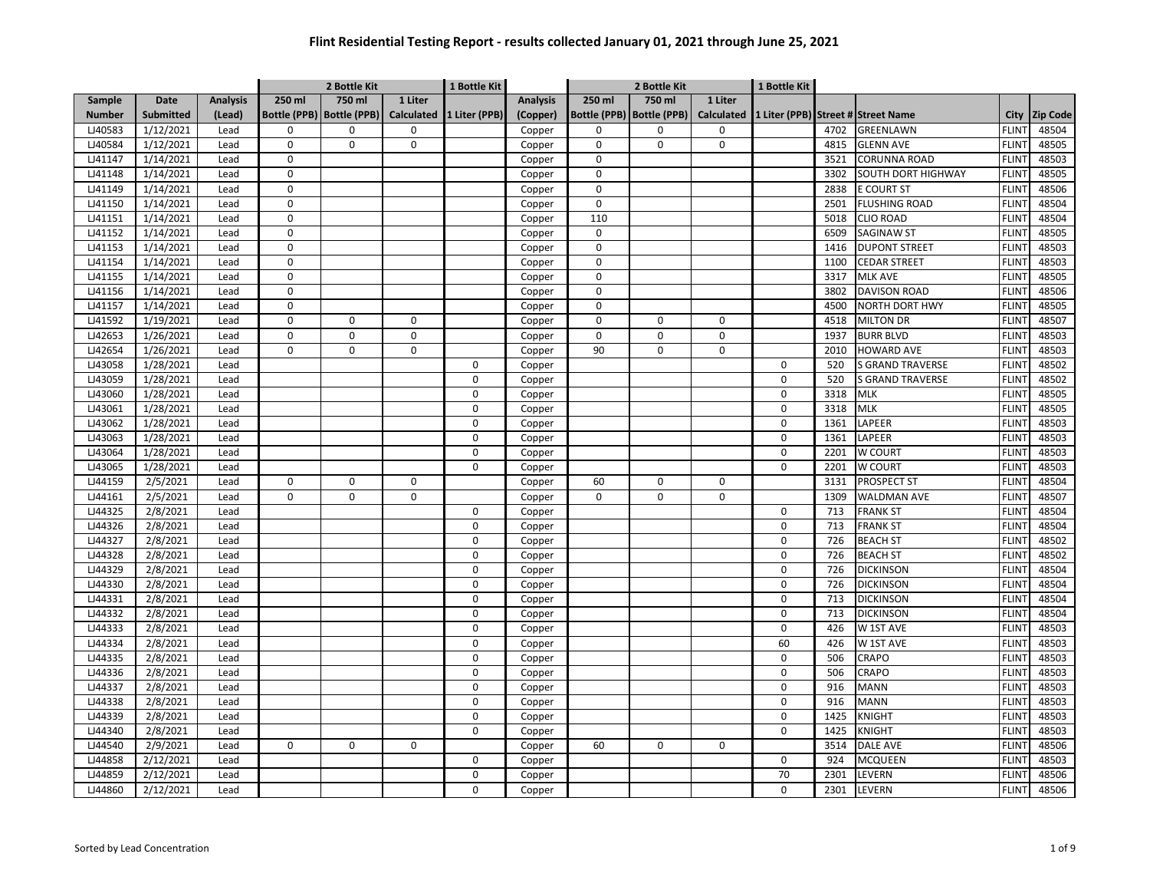|                |                  |                 |                | 2 Bottle Kit                |                | 1 Bottle Kit   |                 |                | 2 Bottle Kit                |                   | 1 Bottle Kit |      |                                    |              |                 |
|----------------|------------------|-----------------|----------------|-----------------------------|----------------|----------------|-----------------|----------------|-----------------------------|-------------------|--------------|------|------------------------------------|--------------|-----------------|
| Sample         | Date             | <b>Analysis</b> | 250 ml         | 750 ml                      | 1 Liter        |                | <b>Analysis</b> | 250 ml         | 750 ml                      | 1 Liter           |              |      |                                    |              |                 |
| <b>Number</b>  | <b>Submitted</b> | (Lead)          |                | Bottle (PPB)   Bottle (PPB) | Calculated     | 1 Liter (PPB)  | (Copper)        |                | Bottle (PPB)   Bottle (PPB) | <b>Calculated</b> |              |      | 1 Liter (PPB) Street # Street Name | City         | <b>Zip Code</b> |
| LJ40583        | 1/12/2021        | Lead            | 0              | $\Omega$                    | 0              |                | Copper          | $\mathbf 0$    | $\Omega$                    | 0                 |              | 4702 | <b>GREENLAWN</b>                   | <b>FLINT</b> | 48504           |
| LJ40584        | 1/12/2021        | Lead            | 0              | 0                           | 0              |                | Copper          | $\mathbf 0$    | $\Omega$                    | $\mathbf 0$       |              | 4815 | <b>GLENN AVE</b>                   | <b>FLINT</b> | 48505           |
| LJ41147        | 1/14/2021        | Lead            | 0              |                             |                |                | Copper          | $\mathbf 0$    |                             |                   |              | 3521 | <b>CORUNNA ROAD</b>                | <b>FLINT</b> | 48503           |
| LJ41148        | 1/14/2021        | Lead            | 0              |                             |                |                | Copper          | $\mathbf 0$    |                             |                   |              | 3302 | SOUTH DORT HIGHWAY                 | <b>FLINT</b> | 48505           |
| LJ41149        | 1/14/2021        | Lead            | 0              |                             |                |                | Copper          | $\mathbf 0$    |                             |                   |              | 2838 | <b>E COURT ST</b>                  | <b>FLINT</b> | 48506           |
| LJ41150        | 1/14/2021        | Lead            | 0              |                             |                |                | Copper          | $\mathbf 0$    |                             |                   |              | 2501 | <b>FLUSHING ROAD</b>               | <b>FLINT</b> | 48504           |
| LJ41151        | 1/14/2021        | Lead            | $\pmb{0}$      |                             |                |                | Copper          | 110            |                             |                   |              | 5018 | <b>CLIO ROAD</b>                   | <b>FLINT</b> | 48504           |
| LJ41152        | 1/14/2021        | Lead            | $\pmb{0}$      |                             |                |                | Copper          | $\mathbf 0$    |                             |                   |              | 6509 | <b>SAGINAW ST</b>                  | <b>FLINT</b> | 48505           |
| LJ41153        | 1/14/2021        | Lead            | 0              |                             |                |                | Copper          | $\mathbf 0$    |                             |                   |              | 1416 | <b>DUPONT STREET</b>               | <b>FLINT</b> | 48503           |
| LJ41154        | 1/14/2021        | Lead            | $\mathsf{o}$   |                             |                |                | Copper          | $\mathbf 0$    |                             |                   |              | 1100 | <b>CEDAR STREET</b>                | <b>FLINT</b> | 48503           |
| LJ41155        | 1/14/2021        | Lead            | $\mathbf 0$    |                             |                |                | Copper          | $\mathbf 0$    |                             |                   |              | 3317 | <b>MLK AVE</b>                     | <b>FLINT</b> | 48505           |
| LJ41156        | 1/14/2021        | Lead            | $\pmb{0}$      |                             |                |                | Copper          | 0              |                             |                   |              | 3802 | <b>DAVISON ROAD</b>                | <b>FLINT</b> | 48506           |
| <b>LJ41157</b> | 1/14/2021        | Lead            | $\mathbf 0$    |                             |                |                | Copper          | $\mathbf 0$    |                             |                   |              | 4500 | <b>NORTH DORT HWY</b>              | <b>FLINT</b> | 48505           |
| LJ41592        | 1/19/2021        | Lead            | $\pmb{0}$      | 0                           | $\mathbf 0$    |                | Copper          | 0              | 0                           | $\mathbf 0$       |              | 4518 | <b>MILTON DR</b>                   | <b>FLINT</b> | 48507           |
| LJ42653        | 1/26/2021        | Lead            | $\overline{0}$ | $\overline{0}$              | $\overline{0}$ |                | Copper          | $\overline{0}$ | $\overline{0}$              | $\overline{0}$    |              | 1937 | <b>BURR BLVD</b>                   | <b>FLINT</b> | 48503           |
| LJ42654        | 1/26/2021        | Lead            | 0              | 0                           | 0              |                | Copper          | 90             | 0                           | $\mathsf 0$       |              | 2010 | <b>HOWARD AVE</b>                  | <b>FLINT</b> | 48503           |
| LJ43058        | 1/28/2021        | Lead            |                |                             |                | $\mathbf 0$    | Copper          |                |                             |                   | 0            | 520  | <b>S GRAND TRAVERSE</b>            | <b>FLINT</b> | 48502           |
| LJ43059        | 1/28/2021        | Lead            |                |                             |                | $\pmb{0}$      | Copper          |                |                             |                   | 0            | 520  | <b>S GRAND TRAVERSE</b>            | <b>FLINT</b> | 48502           |
| LJ43060        | 1/28/2021        | Lead            |                |                             |                | $\mathbf 0$    | Copper          |                |                             |                   | 0            | 3318 | <b>MLK</b>                         | <b>FLINT</b> | 48505           |
| LJ43061        | 1/28/2021        | Lead            |                |                             |                | $\mathbf 0$    | Copper          |                |                             |                   | 0            | 3318 | <b>MLK</b>                         | <b>FLINT</b> | 48505           |
| LJ43062        | 1/28/2021        | Lead            |                |                             |                | $\mathbf 0$    | Copper          |                |                             |                   | 0            | 1361 | LAPEER                             | <b>FLINT</b> | 48503           |
| LJ43063        | 1/28/2021        | Lead            |                |                             |                | $\Omega$       | Copper          |                |                             |                   | 0            | 1361 | LAPEER                             | <b>FLINT</b> | 48503           |
| LJ43064        | 1/28/2021        | Lead            |                |                             |                | $\mathbf 0$    | Copper          |                |                             |                   | 0            | 2201 | W COURT                            | <b>FLINT</b> | 48503           |
| LJ43065        | 1/28/2021        | Lead            |                |                             |                | $\mathbf 0$    | Copper          |                |                             |                   | 0            | 2201 | W COURT                            | <b>FLINT</b> | 48503           |
| LJ44159        | 2/5/2021         | Lead            | $\pmb{0}$      | 0                           | $\mathbf 0$    |                | Copper          | 60             | $\Omega$                    | $\mathsf 0$       |              | 3131 | <b>PROSPECT ST</b>                 | <b>FLINT</b> | 48504           |
| LJ44161        | 2/5/2021         | Lead            | 0              | 0                           | 0              |                | Copper          | $\mathbf 0$    | 0                           | $\mathsf 0$       |              | 1309 | <b>WALDMAN AVE</b>                 | <b>FLINT</b> | 48507           |
| LJ44325        | 2/8/2021         | Lead            |                |                             |                | $\mathbf 0$    | Copper          |                |                             |                   | 0            | 713  | <b>FRANK ST</b>                    | <b>FLINT</b> | 48504           |
| LJ44326        | 2/8/2021         | Lead            |                |                             |                | 0              | Copper          |                |                             |                   | 0            | 713  | <b>FRANK ST</b>                    | <b>FLINT</b> | 48504           |
| LJ44327        | 2/8/2021         | Lead            |                |                             |                | 0              | Copper          |                |                             |                   | 0            | 726  | <b>BEACH ST</b>                    | <b>FLINT</b> | 48502           |
| LJ44328        | 2/8/2021         | Lead            |                |                             |                | 0              | Copper          |                |                             |                   | 0            | 726  | <b>BEACH ST</b>                    | <b>FLINT</b> | 48502           |
| LJ44329        | 2/8/2021         | Lead            |                |                             |                | $\mathbf 0$    | Copper          |                |                             |                   | 0            | 726  | <b>DICKINSON</b>                   | <b>FLINT</b> | 48504           |
| LJ44330        | 2/8/2021         | Lead            |                |                             |                | $\pmb{0}$      | Copper          |                |                             |                   | 0            | 726  | <b>DICKINSON</b>                   | <b>FLINT</b> | 48504           |
| LJ44331        | 2/8/2021         | Lead            |                |                             |                | $\mathbf 0$    | Copper          |                |                             |                   | 0            | 713  | <b>DICKINSON</b>                   | <b>FLINT</b> | 48504           |
| LJ44332        | 2/8/2021         | Lead            |                |                             |                | 0              | Copper          |                |                             |                   | 0            | 713  | <b>DICKINSON</b>                   | <b>FLINT</b> | 48504           |
| LJ44333        | 2/8/2021         | Lead            |                |                             |                | $\overline{0}$ | Copper          |                |                             |                   | 0            | 426  | W 1ST AVE                          | <b>FLINT</b> | 48503           |
| LJ44334        | 2/8/2021         | Lead            |                |                             |                | $\pmb{0}$      | Copper          |                |                             |                   | 60           | 426  | W 1ST AVE                          | <b>FLINT</b> | 48503           |
| LJ44335        | 2/8/2021         | Lead            |                |                             |                | $\mathbf 0$    | Copper          |                |                             |                   | 0            | 506  | CRAPO                              | <b>FLINT</b> | 48503           |
| LJ44336        | 2/8/2021         | Lead            |                |                             |                | $\pmb{0}$      | Copper          |                |                             |                   | 0            | 506  | CRAPO                              | <b>FLINT</b> | 48503           |
| LJ44337        | 2/8/2021         | Lead            |                |                             |                | $\mathbf 0$    | Copper          |                |                             |                   | 0            | 916  | <b>MANN</b>                        | <b>FLINT</b> | 48503           |
| LJ44338        | 2/8/2021         | Lead            |                |                             |                | $\mathbf 0$    | Copper          |                |                             |                   | 0            | 916  | <b>MANN</b>                        | <b>FLINT</b> | 48503           |
| LJ44339        | 2/8/2021         | Lead            |                |                             |                | $\mathbf 0$    | Copper          |                |                             |                   | 0            | 1425 | KNIGHT                             | <b>FLINT</b> | 48503           |
| LJ44340        | 2/8/2021         | Lead            |                |                             |                | $\mathbf 0$    | Copper          |                |                             |                   | 0            | 1425 | KNIGHT                             | <b>FLINT</b> | 48503           |
| LJ44540        | 2/9/2021         | Lead            | 0              | 0                           | $\mathbf 0$    |                | Copper          | 60             | $\Omega$                    | 0                 |              | 3514 | <b>DALE AVE</b>                    | <b>FLINT</b> | 48506           |
| LJ44858        | 2/12/2021        | Lead            |                |                             |                | $\mathbf 0$    | Copper          |                |                             |                   | 0            | 924  | <b>MCQUEEN</b>                     | <b>FLINT</b> | 48503           |
| LJ44859        | 2/12/2021        | Lead            |                |                             |                | $\Omega$       | Copper          |                |                             |                   | 70           | 2301 | LEVERN                             | <b>FLINT</b> | 48506           |
| LJ44860        | 2/12/2021        | Lead            |                |                             |                | $\Omega$       | Copper          |                |                             |                   | 0            | 2301 | <b>LEVERN</b>                      | <b>FLINT</b> | 48506           |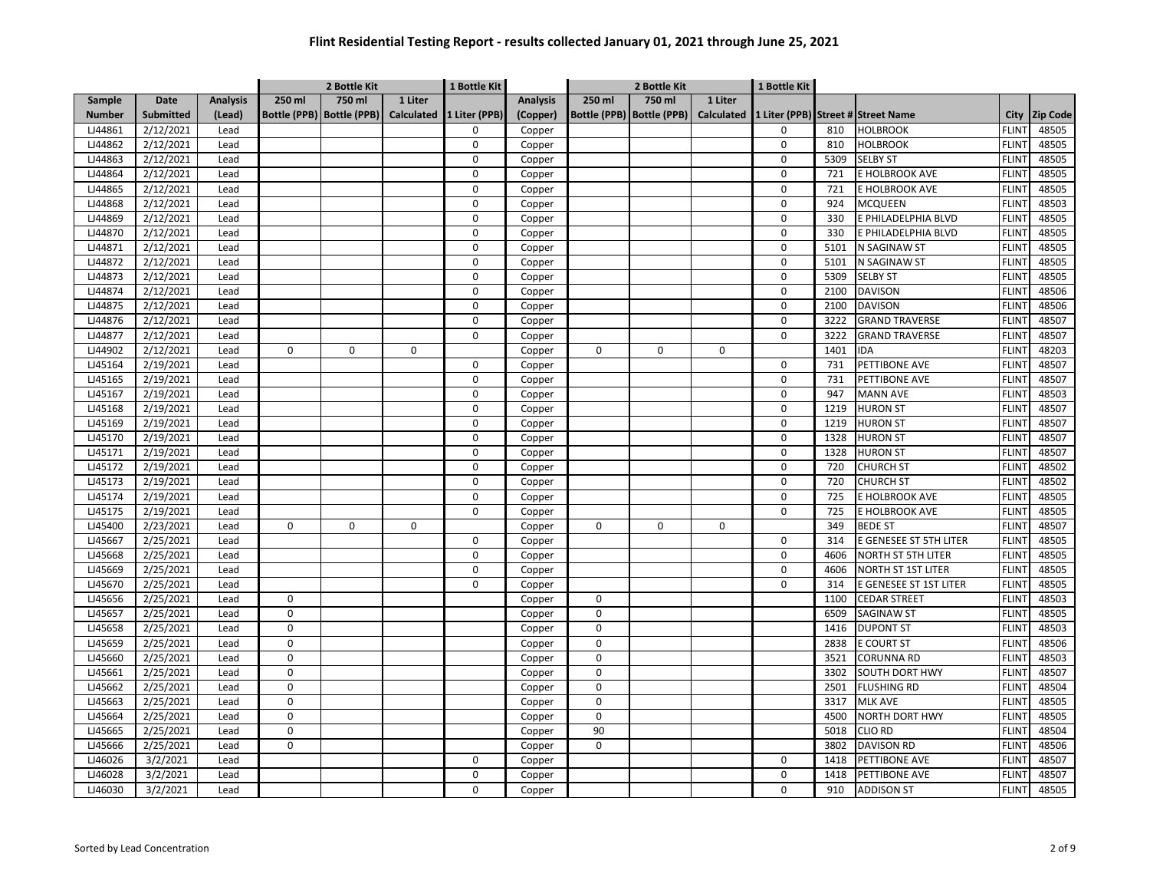|               |                  |                 |                           | 2 Bottle Kit |                   | 1 Bottle Kit  |                 | 2 Bottle Kit |                             |                   | 1 Bottle Kit |      |                                    |                   |                 |
|---------------|------------------|-----------------|---------------------------|--------------|-------------------|---------------|-----------------|--------------|-----------------------------|-------------------|--------------|------|------------------------------------|-------------------|-----------------|
| Sample        | Date             | <b>Analysis</b> | 250 ml                    | $750$ ml     | 1 Liter           |               | <b>Analysis</b> | 250 ml       | 750 ml                      | 1 Liter           |              |      |                                    |                   |                 |
| <b>Number</b> | <b>Submitted</b> | (Lead)          | Bottle (PPB) Bottle (PPB) |              | <b>Calculated</b> | 1 Liter (PPB) | (Copper)        |              | Bottle (PPB)   Bottle (PPB) | <b>Calculated</b> |              |      | 1 Liter (PPB) Street # Street Name | City              | <b>Zip Code</b> |
| LJ44861       | 2/12/2021        | Lead            |                           |              |                   | $\Omega$      | Copper          |              |                             |                   | 0            | 810  | <b>HOLBROOK</b>                    | <b>FLINT</b>      | 48505           |
| LJ44862       | 2/12/2021        | Lead            |                           |              |                   | $\mathbf 0$   | Copper          |              |                             |                   | 0            | 810  | <b>HOLBROOK</b>                    | <b>FLINT</b>      | 48505           |
| LJ44863       | 2/12/2021        | Lead            |                           |              |                   | $\Omega$      | Copper          |              |                             |                   | 0            | 5309 | <b>SELBY ST</b>                    | <b>FLINT</b>      | 48505           |
| LJ44864       | 2/12/2021        | Lead            |                           |              |                   | $\Omega$      | Copper          |              |                             |                   | $\Omega$     | 721  | E HOLBROOK AVE                     | <b>FLINT</b>      | 48505           |
| LJ44865       | 2/12/2021        | Lead            |                           |              |                   | $\Omega$      | Copper          |              |                             |                   | 0            | 721  | E HOLBROOK AVE                     | <b>FLINT</b>      | 48505           |
| LJ44868       | 2/12/2021        | Lead            |                           |              |                   | $\Omega$      | Copper          |              |                             |                   | 0            | 924  | <b>MCQUEEN</b>                     | <b>FLINT</b>      | 48503           |
| LJ44869       | 2/12/2021        | Lead            |                           |              |                   | $\Omega$      | Copper          |              |                             |                   | 0            | 330  | E PHILADELPHIA BLVD                | FLIN <sup>-</sup> | 48505           |
| LJ44870       | 2/12/2021        | Lead            |                           |              |                   | $\Omega$      | Copper          |              |                             |                   | 0            | 330  | E PHILADELPHIA BLVD                | <b>FLINT</b>      | 48505           |
| LJ44871       | 2/12/2021        | Lead            |                           |              |                   | 0             | Copper          |              |                             |                   | $\Omega$     | 5101 | N SAGINAW ST                       | <b>FLINT</b>      | 48505           |
| LJ44872       | 2/12/2021        | Lead            |                           |              |                   | 0             | Copper          |              |                             |                   | $\mathbf 0$  | 5101 | N SAGINAW ST                       | <b>FLINT</b>      | 48505           |
| LJ44873       | 2/12/2021        | Lead            |                           |              |                   | 0             | Copper          |              |                             |                   | 0            | 5309 | <b>SELBY ST</b>                    | <b>FLINT</b>      | 48505           |
| LJ44874       | 2/12/2021        | Lead            |                           |              |                   | $\mathbf 0$   | Copper          |              |                             |                   | $\mathbf 0$  | 2100 | <b>DAVISON</b>                     | <b>FLINT</b>      | 48506           |
| LJ44875       | 2/12/2021        | Lead            |                           |              |                   | $\mathbf 0$   | Copper          |              |                             |                   | 0            | 2100 | <b>DAVISON</b>                     | <b>FLINT</b>      | 48506           |
| LJ44876       | 2/12/2021        | Lead            |                           |              |                   | 0             | Copper          |              |                             |                   | 0            | 3222 | <b>GRAND TRAVERSE</b>              | <b>FLINT</b>      | 48507           |
| LJ44877       | 2/12/2021        | Lead            |                           |              |                   | 0             | Copper          |              |                             |                   | 0            | 3222 | <b>GRAND TRAVERSE</b>              | <b>FLINT</b>      | 48507           |
| LJ44902       | 2/12/2021        | Lead            | 0                         | 0            | $\mathbf 0$       |               | Copper          | 0            | 0                           | $\mathbf 0$       |              | 1401 | <b>IDA</b>                         | <b>FLINT</b>      | 48203           |
| LJ45164       | 2/19/2021        | Lead            |                           |              |                   | 0             | Copper          |              |                             |                   | 0            | 731  | PETTIBONE AVE                      | <b>FLINT</b>      | 48507           |
| LJ45165       | 2/19/2021        | Lead            |                           |              |                   | 0             | Copper          |              |                             |                   | 0            | 731  | PETTIBONE AVE                      | <b>FLINT</b>      | 48507           |
| LJ45167       | 2/19/2021        | Lead            |                           |              |                   | 0             | Copper          |              |                             |                   | 0            | 947  | <b>MANN AVE</b>                    | <b>FLINT</b>      | 48503           |
| LJ45168       | 2/19/2021        | Lead            |                           |              |                   | $\mathbf 0$   | Copper          |              |                             |                   | 0            | 1219 | <b>HURON ST</b>                    | <b>FLINT</b>      | 48507           |
| LJ45169       | 2/19/2021        | Lead            |                           |              |                   | 0             | Copper          |              |                             |                   | 0            | 1219 | <b>HURON ST</b>                    | <b>FLINT</b>      | 48507           |
| LJ45170       | 2/19/2021        | Lead            |                           |              |                   | $\mathbf 0$   | Copper          |              |                             |                   | 0            | 1328 | <b>HURON ST</b>                    | <b>FLINT</b>      | 48507           |
| LJ45171       | 2/19/2021        | Lead            |                           |              |                   | $\Omega$      | Copper          |              |                             |                   | 0            | 1328 | <b>HURON ST</b>                    | <b>FLINT</b>      | 48507           |
| LJ45172       | 2/19/2021        | Lead            |                           |              |                   | $\Omega$      | Copper          |              |                             |                   | $\Omega$     | 720  | <b>CHURCH ST</b>                   | <b>FLINT</b>      | 48502           |
| LJ45173       | 2/19/2021        | Lead            |                           |              |                   | $\Omega$      | Copper          |              |                             |                   | 0            | 720  | <b>CHURCH ST</b>                   | <b>FLINT</b>      | 48502           |
| LJ45174       | 2/19/2021        | Lead            |                           |              |                   | $\Omega$      | Copper          |              |                             |                   | $\Omega$     | 725  | E HOLBROOK AVE                     | <b>FLINT</b>      | 48505           |
| LJ45175       | 2/19/2021        | Lead            |                           |              |                   | 0             | Copper          |              |                             |                   | 0            | 725  | E HOLBROOK AVE                     | <b>FLINT</b>      | 48505           |
| LJ45400       | 2/23/2021        | Lead            | 0                         | $\Omega$     | $\mathbf 0$       |               | Copper          | $\Omega$     | $\Omega$                    | $\mathbf 0$       |              | 349  | <b>BEDE ST</b>                     | <b>FLINT</b>      | 48507           |
| LJ45667       | 2/25/2021        | Lead            |                           |              |                   | 0             | Copper          |              |                             |                   | 0            | 314  | E GENESEE ST 5TH LITER             | <b>FLINT</b>      | 48505           |
| LJ45668       | 2/25/2021        | Lead            |                           |              |                   | 0             | Copper          |              |                             |                   | 0            | 4606 | <b>NORTH ST 5TH LITER</b>          | <b>FLINT</b>      | 48505           |
| LJ45669       | 2/25/2021        | Lead            |                           |              |                   | $\pmb{0}$     | Copper          |              |                             |                   | $\mathbf 0$  | 4606 | NORTH ST 1ST LITER                 | <b>FLINT</b>      | 48505           |
| LJ45670       | 2/25/2021        | Lead            |                           |              |                   | 0             | Copper          |              |                             |                   | 0            | 314  | E GENESEE ST 1ST LITER             | <b>FLINT</b>      | 48505           |
| LJ45656       | 2/25/2021        | Lead            | 0                         |              |                   |               | Copper          | 0            |                             |                   |              | 1100 | <b>CEDAR STREET</b>                | <b>FLINT</b>      | 48503           |
| LJ45657       | 2/25/2021        | Lead            | $\mathbf 0$               |              |                   |               | Copper          | 0            |                             |                   |              | 6509 | SAGINAW ST                         | <b>FLINT</b>      | 48505           |
| LJ45658       | 2/25/2021        | Lead            | $\pmb{0}$                 |              |                   |               | Copper          | $\Omega$     |                             |                   |              | 1416 | <b>DUPONT ST</b>                   | <b>FLINT</b>      | 48503           |
| LJ45659       | 2/25/2021        | Lead            | $\mathbf 0$               |              |                   |               | Copper          | $\mathbf 0$  |                             |                   |              | 2838 | <b>E COURT ST</b>                  | <b>FLINT</b>      | 48506           |
| LJ45660       | 2/25/2021        | Lead            | $\pmb{0}$                 |              |                   |               | Copper          | 0            |                             |                   |              | 3521 | <b>CORUNNA RD</b>                  | <b>FLINT</b>      | 48503           |
| LJ45661       | 2/25/2021        | Lead            | $\mathbf 0$               |              |                   |               | Copper          | $\mathbf 0$  |                             |                   |              | 3302 | <b>SOUTH DORT HWY</b>              | <b>FLINT</b>      | 48507           |
| LJ45662       | 2/25/2021        | Lead            | $\mathbf 0$               |              |                   |               | Copper          | 0            |                             |                   |              | 2501 | <b>FLUSHING RD</b>                 | <b>FLINT</b>      | 48504           |
| LJ45663       | 2/25/2021        | Lead            | $\mathbf 0$               |              |                   |               | Copper          | 0            |                             |                   |              | 3317 | <b>MLK AVE</b>                     | <b>FLINT</b>      | 48505           |
| LJ45664       | 2/25/2021        | Lead            | $\mathbf 0$               |              |                   |               | Copper          | 0            |                             |                   |              | 4500 | NORTH DORT HWY                     | <b>FLINT</b>      | 48505           |
| LJ45665       | 2/25/2021        | Lead            | $\mathbf 0$               |              |                   |               | Copper          | 90           |                             |                   |              | 5018 | <b>CLIO RD</b>                     | <b>FLINT</b>      | 48504           |
| LJ45666       | 2/25/2021        | Lead            | $\mathbf 0$               |              |                   |               | Copper          | 0            |                             |                   |              | 3802 | <b>DAVISON RD</b>                  | <b>FLINT</b>      | 48506           |
| LJ46026       | 3/2/2021         | Lead            |                           |              |                   | $\Omega$      | Copper          |              |                             |                   | 0            | 1418 | PETTIBONE AVE                      | <b>FLINT</b>      | 48507           |
| LJ46028       | 3/2/2021         | Lead            |                           |              |                   | $\Omega$      | Copper          |              |                             |                   | O            | 1418 | PETTIBONE AVE                      | <b>FLINT</b>      | 48507           |
| LJ46030       | 3/2/2021         | Lead            |                           |              |                   | $\Omega$      | Copper          |              |                             |                   | 0            | 910  | <b>ADDISON ST</b>                  | <b>FLINT</b>      | 48505           |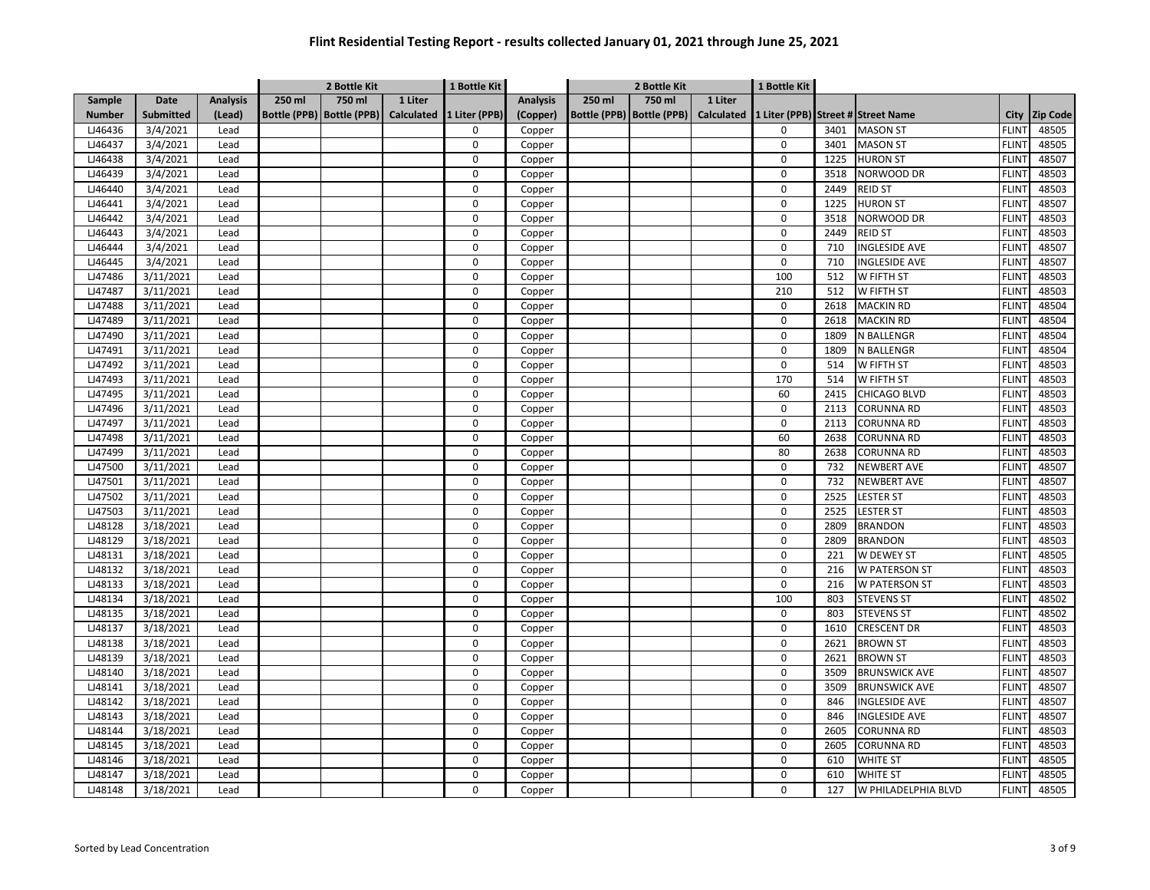| 750 ml<br>750 ml<br>250 ml<br>1 Liter<br>250 ml<br>1 Liter<br>Sample<br>Date<br><b>Analysis</b><br><b>Analysis</b><br>Bottle (PPB) Bottle (PPB)<br><b>Calculated</b><br>1 Liter (PPB)<br>Bottle (PPB)   Bottle (PPB)<br><b>Calculated</b><br><b>Number</b><br><b>Submitted</b><br>(Lead)<br>(Copper)<br>1 Liter (PPB) Street # Street Name<br>City<br>LJ46436<br>3/4/2021<br><b>MASON ST</b><br>Lead<br>$\Omega$<br>Copper<br>0<br>3401<br><b>FLINT</b><br>LJ46437<br>3/4/2021<br>$\mathbf 0$<br>0<br>3401<br><b>MASON ST</b><br><b>FLINT</b><br>Lead<br>Copper<br><b>HURON ST</b><br>LJ46438<br>3/4/2021<br>$\mathbf 0$<br>Copper<br>0<br>1225<br><b>FLINT</b><br>Lead<br>LJ46439<br>3/4/2021<br>$\Omega$<br>0<br>3518<br>NORWOOD DR<br><b>FLINT</b><br>Lead<br>Copper | <b>Zip Code</b><br>48505<br>48505<br>48507<br>48503<br>48503<br>48507<br>48503<br>48503 |
|-------------------------------------------------------------------------------------------------------------------------------------------------------------------------------------------------------------------------------------------------------------------------------------------------------------------------------------------------------------------------------------------------------------------------------------------------------------------------------------------------------------------------------------------------------------------------------------------------------------------------------------------------------------------------------------------------------------------------------------------------------------------------|-----------------------------------------------------------------------------------------|
|                                                                                                                                                                                                                                                                                                                                                                                                                                                                                                                                                                                                                                                                                                                                                                         |                                                                                         |
|                                                                                                                                                                                                                                                                                                                                                                                                                                                                                                                                                                                                                                                                                                                                                                         |                                                                                         |
|                                                                                                                                                                                                                                                                                                                                                                                                                                                                                                                                                                                                                                                                                                                                                                         |                                                                                         |
|                                                                                                                                                                                                                                                                                                                                                                                                                                                                                                                                                                                                                                                                                                                                                                         |                                                                                         |
|                                                                                                                                                                                                                                                                                                                                                                                                                                                                                                                                                                                                                                                                                                                                                                         |                                                                                         |
|                                                                                                                                                                                                                                                                                                                                                                                                                                                                                                                                                                                                                                                                                                                                                                         |                                                                                         |
| LJ46440<br>3/4/2021<br>$\Omega$<br>Copper<br>0<br>2449<br><b>REID ST</b><br><b>FLINT</b><br>Lead                                                                                                                                                                                                                                                                                                                                                                                                                                                                                                                                                                                                                                                                        |                                                                                         |
| 3/4/2021<br>$\Omega$<br>0<br><b>HURON ST</b><br><b>FLINT</b><br>LJ46441<br>Lead<br>Copper<br>1225                                                                                                                                                                                                                                                                                                                                                                                                                                                                                                                                                                                                                                                                       |                                                                                         |
| 3/4/2021<br>$\Omega$<br>0<br>LJ46442<br>Lead<br>Copper<br>3518<br>NORWOOD DR<br><b>FLINT</b>                                                                                                                                                                                                                                                                                                                                                                                                                                                                                                                                                                                                                                                                            |                                                                                         |
| LJ46443<br>3/4/2021<br>$\mathbf 0$<br>0<br>2449<br><b>FLINT</b><br>Lead<br>Copper<br><b>REID ST</b>                                                                                                                                                                                                                                                                                                                                                                                                                                                                                                                                                                                                                                                                     |                                                                                         |
| 3/4/2021<br>0<br><b>FLINT</b><br>LJ46444<br>Lead<br>0<br>710<br><b>INGLESIDE AVE</b><br>Copper                                                                                                                                                                                                                                                                                                                                                                                                                                                                                                                                                                                                                                                                          | 48507                                                                                   |
| 3/4/2021<br>LJ46445<br>Lead<br>0<br>Copper<br>0<br>710<br><b>INGLESIDE AVE</b><br><b>FLINT</b>                                                                                                                                                                                                                                                                                                                                                                                                                                                                                                                                                                                                                                                                          | 48507                                                                                   |
| 3/11/2021<br>LJ47486<br>0<br>100<br>512<br>W FIFTH ST<br><b>FLINT</b><br>Lead<br>Copper                                                                                                                                                                                                                                                                                                                                                                                                                                                                                                                                                                                                                                                                                 | 48503                                                                                   |
| 3/11/2021<br>$\pmb{0}$<br>LJ47487<br>Lead<br>Copper<br>210<br>512<br>W FIFTH ST<br><b>FLINT</b>                                                                                                                                                                                                                                                                                                                                                                                                                                                                                                                                                                                                                                                                         | 48503                                                                                   |
| LJ47488<br>3/11/2021<br>0<br>0<br><b>MACKIN RD</b><br><b>FLINT</b><br>Lead<br>Copper<br>2618                                                                                                                                                                                                                                                                                                                                                                                                                                                                                                                                                                                                                                                                            | 48504                                                                                   |
| LJ47489<br>3/11/2021<br>0<br>0<br>2618<br><b>MACKIN RD</b><br><b>FLINT</b><br>Lead<br>Copper                                                                                                                                                                                                                                                                                                                                                                                                                                                                                                                                                                                                                                                                            | 48504                                                                                   |
| LJ47490<br>3/11/2021<br>0<br>0<br>N BALLENGR<br><b>FLINT</b><br>Lead<br>Copper<br>1809                                                                                                                                                                                                                                                                                                                                                                                                                                                                                                                                                                                                                                                                                  | 48504                                                                                   |
| 0<br>LJ47491<br>3/11/2021<br>0<br>1809<br>N BALLENGR<br><b>FLINT</b><br>Lead<br>Copper                                                                                                                                                                                                                                                                                                                                                                                                                                                                                                                                                                                                                                                                                  | 48504                                                                                   |
| $\overline{0}$<br>$\overline{0}$<br>LJ47492<br>3/11/2021<br>514<br><b>FLINT</b><br>Lead<br>Copper<br>W FIFTH ST                                                                                                                                                                                                                                                                                                                                                                                                                                                                                                                                                                                                                                                         | 48503                                                                                   |
| $\mathbf 0$<br>170<br>LJ47493<br>3/11/2021<br>514<br>W FIFTH ST<br><b>FLINT</b><br>Lead<br>Copper                                                                                                                                                                                                                                                                                                                                                                                                                                                                                                                                                                                                                                                                       | 48503                                                                                   |
| 3/11/2021<br>$\Omega$<br><b>FLINT</b><br>LJ47495<br>Lead<br>Copper<br>60<br>2415<br>CHICAGO BLVD                                                                                                                                                                                                                                                                                                                                                                                                                                                                                                                                                                                                                                                                        | 48503                                                                                   |
| LJ47496<br>3/11/2021<br>$\Omega$<br>2113<br><b>CORUNNA RD</b><br><b>FLINT</b><br>Lead<br>Copper<br>0                                                                                                                                                                                                                                                                                                                                                                                                                                                                                                                                                                                                                                                                    | 48503                                                                                   |
| 3/11/2021<br>$\Omega$<br>0<br>LJ47497<br>Lead<br>Copper<br>2113<br><b>CORUNNA RD</b><br><b>FLINT</b>                                                                                                                                                                                                                                                                                                                                                                                                                                                                                                                                                                                                                                                                    | 48503                                                                                   |
| LJ47498<br>3/11/2021<br>$\Omega$<br>60<br>2638<br><b>CORUNNA RD</b><br><b>FLINT</b><br>Copper<br>Lead                                                                                                                                                                                                                                                                                                                                                                                                                                                                                                                                                                                                                                                                   | 48503                                                                                   |
| LJ47499<br>3/11/2021<br>Lead<br>$\Omega$<br>Copper<br>80<br>2638<br>CORUNNA RD<br><b>FLINT</b>                                                                                                                                                                                                                                                                                                                                                                                                                                                                                                                                                                                                                                                                          | 48503                                                                                   |
| LJ47500<br>3/11/2021<br>$\Omega$<br><b>FLINT</b><br>Copper<br>0<br>732<br><b>NEWBERT AVE</b><br>Lead                                                                                                                                                                                                                                                                                                                                                                                                                                                                                                                                                                                                                                                                    | 48507                                                                                   |
| $\Omega$<br>$\Omega$<br>732<br><b>FLINT</b><br>LJ47501<br>3/11/2021<br>Lead<br>Copper<br><b>NEWBERT AVE</b>                                                                                                                                                                                                                                                                                                                                                                                                                                                                                                                                                                                                                                                             | 48507                                                                                   |
| LJ47502<br>3/11/2021<br>$\Omega$<br>$\overline{0}$<br>2525<br><b>FLINT</b><br>Lead<br>Copper<br><b>LESTER ST</b>                                                                                                                                                                                                                                                                                                                                                                                                                                                                                                                                                                                                                                                        | 48503                                                                                   |
| 3/11/2021<br>0<br>0<br>2525<br>LJ47503<br>Lead<br><b>LESTER ST</b><br><b>FLINT</b><br>Copper                                                                                                                                                                                                                                                                                                                                                                                                                                                                                                                                                                                                                                                                            | 48503                                                                                   |
| 3/18/2021<br>0<br>LJ48128<br>Lead<br>Copper<br>0<br>2809<br><b>BRANDON</b><br><b>FLINT</b>                                                                                                                                                                                                                                                                                                                                                                                                                                                                                                                                                                                                                                                                              | 48503                                                                                   |
| LJ48129<br>3/18/2021<br>0<br>0<br>2809<br><b>BRANDON</b><br><b>FLINT</b><br>Lead<br>Copper                                                                                                                                                                                                                                                                                                                                                                                                                                                                                                                                                                                                                                                                              | 48503                                                                                   |
| LJ48131<br>3/18/2021<br>$\pmb{0}$<br>0<br>Lead<br>Copper<br>221<br>W DEWEY ST<br><b>FLINT</b>                                                                                                                                                                                                                                                                                                                                                                                                                                                                                                                                                                                                                                                                           | 48505                                                                                   |
| LJ48132<br>3/18/2021<br>0<br>0<br><b>W PATERSON ST</b><br><b>FLINT</b><br>Lead<br>Copper<br>216                                                                                                                                                                                                                                                                                                                                                                                                                                                                                                                                                                                                                                                                         | 48503                                                                                   |
| LJ48133<br>3/18/2021<br>Lead<br>$\Omega$<br>0<br>216<br>W PATERSON ST<br><b>FLINT</b><br>Copper                                                                                                                                                                                                                                                                                                                                                                                                                                                                                                                                                                                                                                                                         | 48503                                                                                   |
| 0<br>100<br>LJ48134<br>3/18/2021<br>803<br><b>STEVENS ST</b><br><b>FLINT</b><br>Lead<br>Copper                                                                                                                                                                                                                                                                                                                                                                                                                                                                                                                                                                                                                                                                          | 48502                                                                                   |
| 0<br>0<br><b>FLINT</b><br>LJ48135<br>3/18/2021<br>Lead<br>803<br><b>STEVENS ST</b><br>Copper                                                                                                                                                                                                                                                                                                                                                                                                                                                                                                                                                                                                                                                                            | 48502                                                                                   |
| LJ48137<br>3/18/2021<br>$\mathbf 0$<br>0<br>1610<br><b>FLINT</b><br>Lead<br><b>CRESCENT DR</b><br>Copper                                                                                                                                                                                                                                                                                                                                                                                                                                                                                                                                                                                                                                                                | 48503                                                                                   |
| $\Omega$<br>0<br>LJ48138<br>3/18/2021<br>Lead<br>2621<br><b>BROWN ST</b><br><b>FLINT</b><br>Copper                                                                                                                                                                                                                                                                                                                                                                                                                                                                                                                                                                                                                                                                      | 48503                                                                                   |
| LJ48139<br>3/18/2021<br>$\mathbf 0$<br>Lead<br>Copper<br>0<br>2621<br><b>BROWN ST</b><br><b>FLINT</b>                                                                                                                                                                                                                                                                                                                                                                                                                                                                                                                                                                                                                                                                   | 48503                                                                                   |
| LJ48140<br>3/18/2021<br>$\Omega$<br>0<br><b>BRUNSWICK AVE</b><br><b>FLINT</b><br>Lead<br>Copper<br>3509                                                                                                                                                                                                                                                                                                                                                                                                                                                                                                                                                                                                                                                                 | 48507                                                                                   |
| LJ48141<br>$\mathbf 0$<br>3/18/2021<br>Copper<br>0<br>3509<br><b>BRUNSWICK AVE</b><br><b>FLINT</b><br>Lead                                                                                                                                                                                                                                                                                                                                                                                                                                                                                                                                                                                                                                                              | 48507                                                                                   |
| LJ48142<br>3/18/2021<br>$\Omega$<br>0<br><b>INGLESIDE AVE</b><br><b>FLINT</b><br>Lead<br>Copper<br>846                                                                                                                                                                                                                                                                                                                                                                                                                                                                                                                                                                                                                                                                  | 48507                                                                                   |
| LJ48143<br>3/18/2021<br>$\Omega$<br>0<br>846<br><b>INGLESIDE AVE</b><br><b>FLINT</b><br>Lead<br>Copper                                                                                                                                                                                                                                                                                                                                                                                                                                                                                                                                                                                                                                                                  | 48507                                                                                   |
| $\Omega$<br>0<br><b>FLINT</b><br>LJ48144<br>3/18/2021<br>2605<br>CORUNNA RD<br>Lead<br>Copper                                                                                                                                                                                                                                                                                                                                                                                                                                                                                                                                                                                                                                                                           | 48503                                                                                   |
| $\Omega$<br>LJ48145<br>3/18/2021<br>0<br>2605<br>CORUNNA RD<br><b>FLINT</b><br>Lead<br>Copper                                                                                                                                                                                                                                                                                                                                                                                                                                                                                                                                                                                                                                                                           | 48503                                                                                   |
| LJ48146<br>3/18/2021<br>$\Omega$<br>$\overline{0}$<br>610<br><b>WHITE ST</b><br><b>FLINT</b><br>Lead<br>Copper                                                                                                                                                                                                                                                                                                                                                                                                                                                                                                                                                                                                                                                          | 48505                                                                                   |
| 0<br>LJ48147<br>3/18/2021<br>0<br>610<br><b>WHITE ST</b><br><b>FLINT</b><br>Lead<br>Copper                                                                                                                                                                                                                                                                                                                                                                                                                                                                                                                                                                                                                                                                              | 48505                                                                                   |
| 0<br>LJ48148<br>3/18/2021<br>Lead<br>0<br>127<br>W PHILADELPHIA BLVD<br><b>FLINT</b><br>Copper                                                                                                                                                                                                                                                                                                                                                                                                                                                                                                                                                                                                                                                                          | 48505                                                                                   |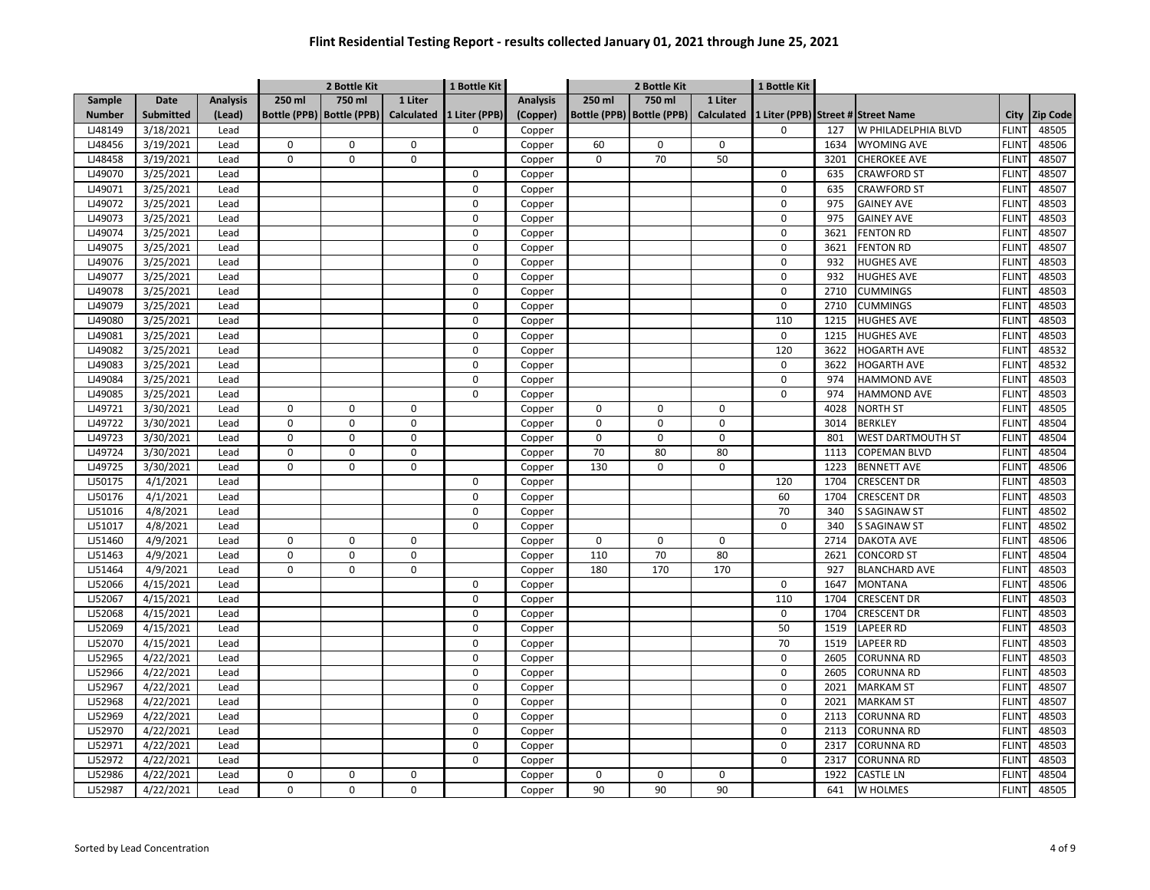|               |                  |                 | 2 Bottle Kit<br>1 Bottle Kit |                             |                   |               |                 | 2 Bottle Kit    |                             | 1 Bottle Kit      |     |      |                                    |                   |                 |
|---------------|------------------|-----------------|------------------------------|-----------------------------|-------------------|---------------|-----------------|-----------------|-----------------------------|-------------------|-----|------|------------------------------------|-------------------|-----------------|
| <b>Sample</b> | <b>Date</b>      | <b>Analysis</b> | 250 ml                       | 750 ml                      | 1 Liter           |               | <b>Analysis</b> | 250 ml          | 750 ml                      | 1 Liter           |     |      |                                    |                   |                 |
| <b>Number</b> | <b>Submitted</b> | (Lead)          |                              | Bottle (PPB)   Bottle (PPB) | <b>Calculated</b> | 1 Liter (PPB) | (Copper)        |                 | Bottle (PPB)   Bottle (PPB) | <b>Calculated</b> |     |      | 1 Liter (PPB) Street # Street Name | City              | <b>Zip Code</b> |
| LJ48149       | 3/18/2021        | Lead            |                              |                             |                   | $\mathbf 0$   | Copper          |                 |                             |                   | 0   | 127  | W PHILADELPHIA BLVD                | <b>FLINT</b>      | 48505           |
| LJ48456       | 3/19/2021        | Lead            | $\mathbf 0$                  | $\mathbf 0$                 | $\mathbf 0$       |               | Copper          | 60              | $\mathbf 0$                 | $\mathbf 0$       |     | 1634 | <b>WYOMING AVE</b>                 | <b>FLINT</b>      | 48506           |
| LJ48458       | 3/19/2021        | Lead            | 0                            | 0                           | 0                 |               | Copper          | $\mathbf 0$     | 70                          | 50                |     | 3201 | <b>CHEROKEE AVE</b>                | <b>FLINT</b>      | 48507           |
| LJ49070       | 3/25/2021        | Lead            |                              |                             |                   | $\Omega$      | Copper          |                 |                             |                   | 0   | 635  | <b>CRAWFORD ST</b>                 | <b>FLINT</b>      | 48507           |
| LJ49071       | 3/25/2021        | Lead            |                              |                             |                   | $\mathbf 0$   | Copper          |                 |                             |                   | 0   | 635  | <b>CRAWFORD ST</b>                 | FLIN <sup>-</sup> | 48507           |
| LJ49072       | 3/25/2021        | Lead            |                              |                             |                   | $\mathbf 0$   | Copper          |                 |                             |                   | 0   | 975  | <b>GAINEY AVE</b>                  | <b>FLINT</b>      | 48503           |
| LJ49073       | 3/25/2021        | Lead            |                              |                             |                   | 0             | Copper          |                 |                             |                   | 0   | 975  | <b>GAINEY AVE</b>                  | <b>FLINT</b>      | 48503           |
| LJ49074       | 3/25/2021        | Lead            |                              |                             |                   | $\mathbf 0$   | Copper          |                 |                             |                   | 0   | 3621 | <b>FENTON RD</b>                   | <b>FLINT</b>      | 48507           |
| LJ49075       | 3/25/2021        | Lead            |                              |                             |                   | 0             | Copper          |                 |                             |                   | 0   | 3621 | <b>FENTON RD</b>                   | <b>FLINT</b>      | 48507           |
| LJ49076       | 3/25/2021        | Lead            |                              |                             |                   | 0             | Copper          |                 |                             |                   | 0   | 932  | <b>HUGHES AVE</b>                  | <b>FLINT</b>      | 48503           |
| LJ49077       | 3/25/2021        | Lead            |                              |                             |                   | 0             | Copper          |                 |                             |                   | 0   | 932  | <b>HUGHES AVE</b>                  | <b>FLINT</b>      | 48503           |
| LJ49078       | 3/25/2021        | Lead            |                              |                             |                   | $\mathbf 0$   | Copper          |                 |                             |                   | 0   | 2710 | <b>CUMMINGS</b>                    | <b>FLINT</b>      | 48503           |
| LJ49079       | 3/25/2021        | Lead            |                              |                             |                   | $\pmb{0}$     | Copper          |                 |                             |                   | 0   | 2710 | <b>CUMMINGS</b>                    | <b>FLINT</b>      | 48503           |
| LJ49080       | 3/25/2021        | Lead            |                              |                             |                   | $\mathbf 0$   | Copper          |                 |                             |                   | 110 | 1215 | <b>HUGHES AVE</b>                  | <b>FLINT</b>      | 48503           |
| LJ49081       | 3/25/2021        | Lead            |                              |                             |                   | $\mathbf 0$   | Copper          |                 |                             |                   | 0   | 1215 | <b>HUGHES AVE</b>                  | <b>FLINT</b>      | 48503           |
| LJ49082       | 3/25/2021        | Lead            |                              |                             |                   | $\Omega$      | Copper          |                 |                             |                   | 120 | 3622 | <b>HOGARTH AVE</b>                 | <b>FLINT</b>      | 48532           |
| LJ49083       | 3/25/2021        | Lead            |                              |                             |                   | $\mathbf 0$   | Copper          |                 |                             |                   | 0   | 3622 | <b>HOGARTH AVE</b>                 | <b>FLINT</b>      | 48532           |
| LJ49084       | 3/25/2021        | Lead            |                              |                             |                   | $\pmb{0}$     | Copper          |                 |                             |                   | 0   | 974  | <b>HAMMOND AVE</b>                 | <b>FLINT</b>      | 48503           |
| LJ49085       | 3/25/2021        | Lead            |                              |                             |                   | $\mathbf 0$   | Copper          |                 |                             |                   | 0   | 974  | <b>HAMMOND AVE</b>                 | <b>FLINT</b>      | 48503           |
| LJ49721       | 3/30/2021        | Lead            | $\pmb{0}$                    | 0                           | 0                 |               | Copper          | 0               | $\Omega$                    | $\mathbf 0$       |     | 4028 | <b>NORTH ST</b>                    | <b>FLINT</b>      | 48505           |
| LJ49722       | 3/30/2021        | Lead            | $\mathbf 0$                  | $\Omega$                    | $\Omega$          |               | Copper          | $\mathbf 0$     | $\Omega$                    | $\mathbf 0$       |     | 3014 | <b>BERKLEY</b>                     | <b>FLINT</b>      | 48504           |
| LJ49723       | 3/30/2021        | Lead            | 0                            | 0                           | 0                 |               | Copper          | $\mathbf 0$     | $\Omega$                    | $\mathbf 0$       |     | 801  | WEST DARTMOUTH ST                  | FLIN <sup>-</sup> | 48504           |
| LJ49724       | 3/30/2021        | Lead            | 0                            | 0                           | 0                 |               | Copper          | $\overline{70}$ | 80                          | 80                |     | 1113 | COPEMAN BLVD                       | <b>FLINT</b>      | 48504           |
| LJ49725       | 3/30/2021        | Lead            | 0                            | $\Omega$                    | $\Omega$          |               | Copper          | 130             | $\Omega$                    | $\mathbf 0$       |     | 1223 | <b>BENNETT AVE</b>                 | <b>FLINT</b>      | 48506           |
| LJ50175       | 4/1/2021         | Lead            |                              |                             |                   | $\mathbf 0$   | Copper          |                 |                             |                   | 120 | 1704 | <b>CRESCENT DR</b>                 | <b>FLINT</b>      | 48503           |
| LJ50176       | 4/1/2021         | Lead            |                              |                             |                   | $\Omega$      | Copper          |                 |                             |                   | 60  | 1704 | <b>CRESCENT DR</b>                 | <b>FLINT</b>      | 48503           |
| LJ51016       | 4/8/2021         | Lead            |                              |                             |                   | $\pmb{0}$     | Copper          |                 |                             |                   | 70  | 340  | <b>S SAGINAW ST</b>                | <b>FLINT</b>      | 48502           |
| LJ51017       | 4/8/2021         | Lead            |                              |                             |                   | 0             | Copper          |                 |                             |                   | 0   | 340  | <b>S SAGINAW ST</b>                | <b>FLINT</b>      | 48502           |
| LJ51460       | 4/9/2021         | Lead            | 0                            | 0                           | $\mathbf 0$       |               | Copper          | $\mathbf 0$     | $\pmb{0}$                   | 0                 |     | 2714 | <b>DAKOTA AVE</b>                  | <b>FLINT</b>      | 48506           |
| LJ51463       | 4/9/2021         | Lead            | $\mathbf 0$                  | $\Omega$                    | $\mathbf 0$       |               | Copper          | 110             | 70                          | 80                |     | 2621 | <b>CONCORD ST</b>                  | <b>FLINT</b>      | 48504           |
| LJ51464       | 4/9/2021         | Lead            | 0                            | $\mathbf 0$                 | 0                 |               | Copper          | 180             | 170                         | 170               |     | 927  | <b>BLANCHARD AVE</b>               | <b>FLINT</b>      | 48503           |
| LJ52066       | 4/15/2021        | Lead            |                              |                             |                   | 0             | Copper          |                 |                             |                   | 0   | 1647 | <b>MONTANA</b>                     | <b>FLINT</b>      | 48506           |
| LJ52067       | 4/15/2021        | Lead            |                              |                             |                   | $\mathbf 0$   | Copper          |                 |                             |                   | 110 | 1704 | <b>CRESCENT DR</b>                 | <b>FLINT</b>      | 48503           |
| LJ52068       | 4/15/2021        | Lead            |                              |                             |                   | $\mathbf 0$   | Copper          |                 |                             |                   | 0   | 1704 | CRESCENT DR                        | <b>FLINT</b>      | 48503           |
| LJ52069       | 4/15/2021        | Lead            |                              |                             |                   | 0             | Copper          |                 |                             |                   | 50  | 1519 | LAPEER RD                          | <b>FLINT</b>      | 48503           |
| LJ52070       | 4/15/2021        | Lead            |                              |                             |                   | $\mathbf 0$   | Copper          |                 |                             |                   | 70  | 1519 | <b>LAPEER RD</b>                   | <b>FLINT</b>      | 48503           |
| LJ52965       | 4/22/2021        | Lead            |                              |                             |                   | $\pmb{0}$     | Copper          |                 |                             |                   | 0   | 2605 | <b>CORUNNA RD</b>                  | <b>FLINT</b>      | 48503           |
| LJ52966       | 4/22/2021        | Lead            |                              |                             |                   | $\mathbf 0$   | Copper          |                 |                             |                   | 0   | 2605 | <b>CORUNNA RD</b>                  | <b>FLINT</b>      | 48503           |
| LJ52967       | 4/22/2021        | Lead            |                              |                             |                   | $\pmb{0}$     | Copper          |                 |                             |                   | 0   | 2021 | <b>MARKAM ST</b>                   | <b>FLINT</b>      | 48507           |
| LJ52968       | 4/22/2021        | Lead            |                              |                             |                   | $\mathbf 0$   | Copper          |                 |                             |                   | 0   | 2021 | <b>MARKAM ST</b>                   | <b>FLINT</b>      | 48507           |
| LJ52969       | 4/22/2021        | Lead            |                              |                             |                   | $\Omega$      | Copper          |                 |                             |                   | 0   | 2113 | <b>CORUNNA RD</b>                  | <b>FLINT</b>      | 48503           |
| LJ52970       | 4/22/2021        | Lead            |                              |                             |                   | $\mathbf 0$   | Copper          |                 |                             |                   | 0   | 2113 | <b>CORUNNA RD</b>                  | <b>FLINT</b>      | 48503           |
| LJ52971       | 4/22/2021        | Lead            |                              |                             |                   | $\mathbf 0$   | Copper          |                 |                             |                   | 0   | 2317 | <b>CORUNNA RD</b>                  | <b>FLINT</b>      | 48503           |
| LJ52972       | 4/22/2021        | Lead            |                              |                             |                   | $\Omega$      | Copper          |                 |                             |                   | 0   | 2317 | <b>CORUNNA RD</b>                  | <b>FLINT</b>      | 48503           |
| LJ52986       | 4/22/2021        | Lead            | 0                            | $\Omega$                    | $\mathbf 0$       |               | Copper          | 0               | 0                           | $\mathbf 0$       |     | 1922 | <b>CASTLE LN</b>                   | <b>FLINT</b>      | 48504           |
| LJ52987       | 4/22/2021        | Lead            | 0                            | $\Omega$                    | 0                 |               | Copper          | 90              | 90                          | 90                |     | 641  | W HOLMES                           | <b>FLINT</b>      | 48505           |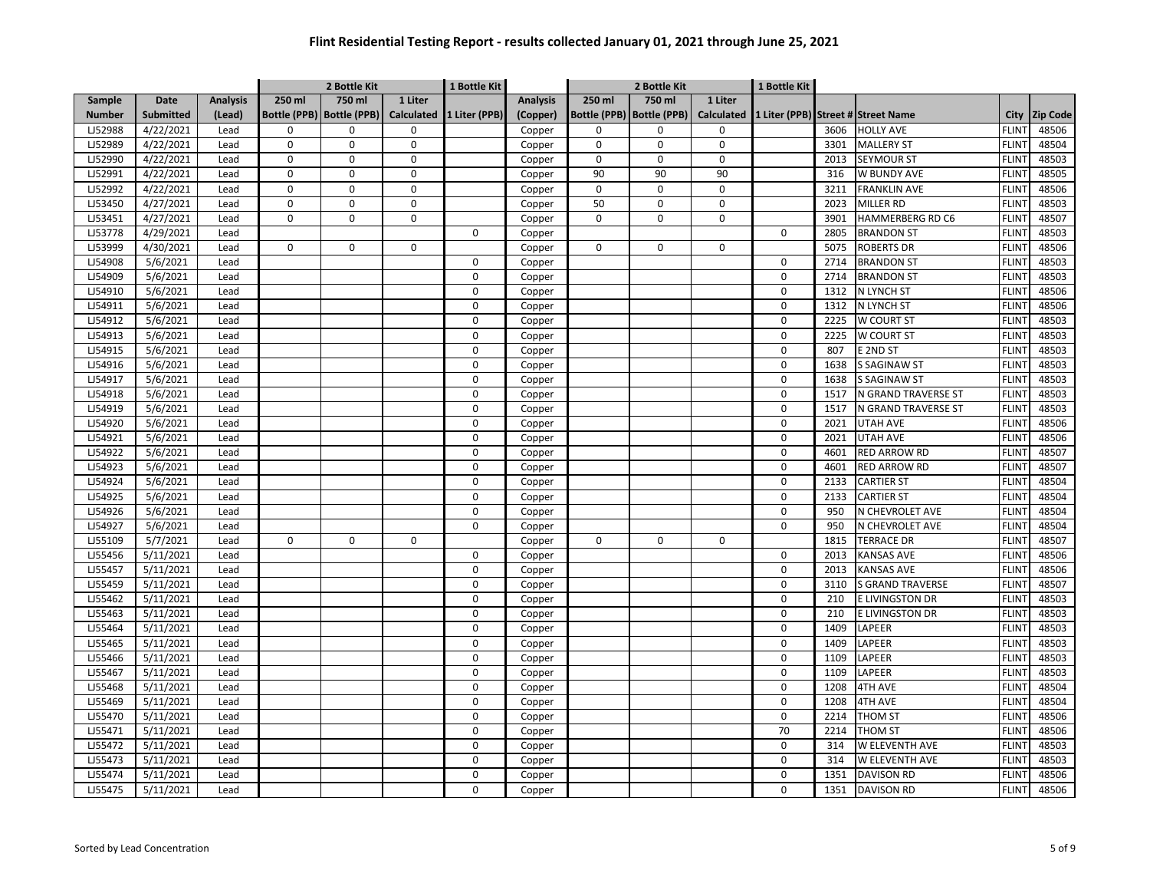|               |                  |                 | 2 Bottle Kit |                             |             | 1 Bottle Kit  |                 |             | 2 Bottle Kit                |                   | 1 Bottle Kit |      |                                    |              |                 |
|---------------|------------------|-----------------|--------------|-----------------------------|-------------|---------------|-----------------|-------------|-----------------------------|-------------------|--------------|------|------------------------------------|--------------|-----------------|
| Sample        | <b>Date</b>      | <b>Analysis</b> | 250 ml       | 750 ml                      | 1 Liter     |               | <b>Analysis</b> | 250 ml      | 750 ml                      | 1 Liter           |              |      |                                    |              |                 |
| <b>Number</b> | <b>Submitted</b> | (Lead)          |              | Bottle (PPB)   Bottle (PPB) | Calculated  | 1 Liter (PPB) | (Copper)        |             | Bottle (PPB)   Bottle (PPB) | <b>Calculated</b> |              |      | 1 Liter (PPB) Street # Street Name | City         | <b>Zip Code</b> |
| LJ52988       | 4/22/2021        | Lead            | 0            | 0                           | 0           |               | Copper          | 0           | $\Omega$                    | 0                 |              | 3606 | <b>HOLLY AVE</b>                   | <b>FLINT</b> | 48506           |
| LJ52989       | 4/22/2021        | Lead            | $\mathbf 0$  | $\mathbf 0$                 | $\mathbf 0$ |               | Copper          | $\mathbf 0$ | $\Omega$                    | $\mathbf 0$       |              | 3301 | <b>MALLERY ST</b>                  | <b>FLINT</b> | 48504           |
| LJ52990       | 4/22/2021        | Lead            | 0            | 0                           | 0           |               | Copper          | $\mathbf 0$ | $\Omega$                    | $\mathbf 0$       |              | 2013 | <b>SEYMOUR ST</b>                  | <b>FLINT</b> | 48503           |
| LJ52991       | 4/22/2021        | Lead            | $\Omega$     | $\Omega$                    | $\Omega$    |               | Copper          | 90          | 90                          | 90                |              | 316  | W BUNDY AVE                        | <b>FLINT</b> | 48505           |
| LJ52992       | 4/22/2021        | Lead            | $\pmb{0}$    | 0                           | $\mathbf 0$ |               | Copper          | $\mathbf 0$ | $\Omega$                    | $\mathsf 0$       |              | 3211 | <b>FRANKLIN AVE</b>                | <b>FLINT</b> | 48506           |
| LJ53450       | 4/27/2021        | Lead            | 0            | 0                           | 0           |               | Copper          | 50          | $\Omega$                    | $\mathbf 0$       |              | 2023 | <b>MILLER RD</b>                   | <b>FLINT</b> | 48503           |
| LJ53451       | 4/27/2021        | Lead            | 0            | 0                           | 0           |               | Copper          | $\mathbf 0$ | $\Omega$                    | $\mathbf 0$       |              | 3901 | HAMMERBERG RD C6                   | <b>FLINT</b> | 48507           |
| LJ53778       | 4/29/2021        | Lead            |              |                             |             | $\mathbf 0$   | Copper          |             |                             |                   | 0            | 2805 | <b>BRANDON ST</b>                  | <b>FLINT</b> | 48503           |
| LJ53999       | 4/30/2021        | Lead            | 0            | 0                           | 0           |               | Copper          | $\mathbf 0$ | 0                           | 0                 |              | 5075 | <b>ROBERTS DR</b>                  | <b>FLINT</b> | 48506           |
| LJ54908       | 5/6/2021         | Lead            |              |                             |             | $\mathbf 0$   | Copper          |             |                             |                   | 0            | 2714 | <b>BRANDON ST</b>                  | <b>FLINT</b> | 48503           |
| LJ54909       | 5/6/2021         | Lead            |              |                             |             | 0             | Copper          |             |                             |                   | 0            | 2714 | <b>BRANDON ST</b>                  | <b>FLINT</b> | 48503           |
| LJ54910       | 5/6/2021         | Lead            |              |                             |             | $\mathbf 0$   | Copper          |             |                             |                   | 0            | 1312 | N LYNCH ST                         | <b>FLINT</b> | 48506           |
| LJ54911       | 5/6/2021         | Lead            |              |                             |             | $\pmb{0}$     | Copper          |             |                             |                   | 0            | 1312 | N LYNCH ST                         | <b>FLINT</b> | 48506           |
| LJ54912       | 5/6/2021         | Lead            |              |                             |             | $\mathbf 0$   | Copper          |             |                             |                   | 0            | 2225 | W COURT ST                         | <b>FLINT</b> | 48503           |
| LJ54913       | 5/6/2021         | Lead            |              |                             |             | $\mathbf 0$   | Copper          |             |                             |                   | 0            | 2225 | <b>W COURT ST</b>                  | <b>FLINT</b> | 48503           |
| LJ54915       | 5/6/2021         | Lead            |              |                             |             | $\mathbf 0$   | Copper          |             |                             |                   | 0            | 807  | E 2ND ST                           | <b>FLINT</b> | 48503           |
| LJ54916       | 5/6/2021         | Lead            |              |                             |             | $\mathbf 0$   | Copper          |             |                             |                   | 0            | 1638 | <b>S SAGINAW ST</b>                | <b>FLINT</b> | 48503           |
| LJ54917       | 5/6/2021         | Lead            |              |                             |             | $\pmb{0}$     | Copper          |             |                             |                   | 0            | 1638 | <b>S SAGINAW ST</b>                | <b>FLINT</b> | 48503           |
| LJ54918       | 5/6/2021         | Lead            |              |                             |             | $\mathbf 0$   | Copper          |             |                             |                   | 0            | 1517 | N GRAND TRAVERSE ST                | <b>FLINT</b> | 48503           |
| LJ54919       | 5/6/2021         | Lead            |              |                             |             | $\mathbf 0$   | Copper          |             |                             |                   | 0            | 1517 | N GRAND TRAVERSE ST                | <b>FLINT</b> | 48503           |
| LJ54920       | 5/6/2021         | Lead            |              |                             |             | $\mathbf 0$   | Copper          |             |                             |                   | 0            | 2021 | <b>UTAH AVE</b>                    | <b>FLINT</b> | 48506           |
| LJ54921       | 5/6/2021         | Lead            |              |                             |             | $\Omega$      | Copper          |             |                             |                   | 0            | 2021 | <b>UTAH AVE</b>                    | <b>FLINT</b> | 48506           |
| LJ54922       | 5/6/2021         | Lead            |              |                             |             | $\mathbf 0$   | Copper          |             |                             |                   | 0            | 4601 | <b>RED ARROW RD</b>                | <b>FLINT</b> | 48507           |
| LJ54923       | 5/6/2021         | Lead            |              |                             |             | $\pmb{0}$     | Copper          |             |                             |                   | 0            | 4601 | <b>RED ARROW RD</b>                | <b>FLINT</b> | 48507           |
| LJ54924       | 5/6/2021         | Lead            |              |                             |             | $\mathbf 0$   | Copper          |             |                             |                   | 0            | 2133 | <b>CARTIER ST</b>                  | <b>FLINT</b> | 48504           |
| LJ54925       | 5/6/2021         | Lead            |              |                             |             | $\Omega$      | Copper          |             |                             |                   | $\Omega$     | 2133 | <b>CARTIER ST</b>                  | <b>FLINT</b> | 48504           |
| LJ54926       | 5/6/2021         | Lead            |              |                             |             | $\mathbf 0$   | Copper          |             |                             |                   | 0            | 950  | N CHEVROLET AVE                    | <b>FLINT</b> | 48504           |
| LJ54927       | 5/6/2021         | Lead            |              |                             |             | 0             | Copper          |             |                             |                   | 0            | 950  | N CHEVROLET AVE                    | <b>FLINT</b> | 48504           |
| LJ55109       | 5/7/2021         | Lead            | 0            | $\mathbf 0$                 | $\mathbf 0$ |               | Copper          | $\mathbf 0$ | $\mathbf 0$                 | 0                 |              | 1815 | <b>TERRACE DR</b>                  | <b>FLINT</b> | 48507           |
| LJ55456       | 5/11/2021        | Lead            |              |                             |             | 0             | Copper          |             |                             |                   | 0            | 2013 | <b>KANSAS AVE</b>                  | <b>FLINT</b> | 48506           |
| LJ55457       | 5/11/2021        | Lead            |              |                             |             | $\mathbf 0$   | Copper          |             |                             |                   | 0            | 2013 | <b>KANSAS AVE</b>                  | <b>FLINT</b> | 48506           |
| LJ55459       | 5/11/2021        | Lead            |              |                             |             | $\mathbf 0$   | Copper          |             |                             |                   | 0            | 3110 | <b>S GRAND TRAVERSE</b>            | <b>FLINT</b> | 48507           |
| LJ55462       | 5/11/2021        | Lead            |              |                             |             | $\mathbf 0$   | Copper          |             |                             |                   | 0            | 210  | E LIVINGSTON DR                    | <b>FLINT</b> | 48503           |
| LJ55463       | 5/11/2021        | Lead            |              |                             |             | $\mathbf 0$   | Copper          |             |                             |                   | 0            | 210  | E LIVINGSTON DR                    | <b>FLINT</b> | 48503           |
| LJ55464       | 5/11/2021        | Lead            |              |                             |             | 0             | Copper          |             |                             |                   | 0            | 1409 | LAPEER                             | <b>FLINT</b> | 48503           |
| LJ55465       | 5/11/2021        | Lead            |              |                             |             | $\mathbf 0$   | Copper          |             |                             |                   | 0            | 1409 | LAPEER                             | <b>FLINT</b> | 48503           |
| LJ55466       | 5/11/2021        | Lead            |              |                             |             | $\pmb{0}$     | Copper          |             |                             |                   | 0            | 1109 | LAPEER                             | <b>FLINT</b> | 48503           |
| LJ55467       | 5/11/2021        | Lead            |              |                             |             | $\mathbf 0$   | Copper          |             |                             |                   | 0            | 1109 | LAPEER                             | <b>FLINT</b> | 48503           |
| LJ55468       | 5/11/2021        | Lead            |              |                             |             | $\pmb{0}$     | Copper          |             |                             |                   | $\Omega$     | 1208 | <b>4TH AVE</b>                     | <b>FLINT</b> | 48504           |
| LJ55469       | 5/11/2021        | Lead            |              |                             |             | $\mathbf 0$   | Copper          |             |                             |                   | 0            | 1208 | <b>4TH AVE</b>                     | <b>FLINT</b> | 48504           |
| LJ55470       | 5/11/2021        | Lead            |              |                             |             | $\Omega$      | Copper          |             |                             |                   | 0            | 2214 | THOM ST                            | <b>FLINT</b> | 48506           |
| LJ55471       | 5/11/2021        | Lead            |              |                             |             | $\mathbf 0$   | Copper          |             |                             |                   | 70           | 2214 | THOM ST                            | <b>FLINT</b> | 48506           |
| LJ55472       | 5/11/2021        | Lead            |              |                             |             | $\Omega$      | Copper          |             |                             |                   | 0            | 314  | W ELEVENTH AVE                     | <b>FLINT</b> | 48503           |
| LJ55473       | 5/11/2021        | Lead            |              |                             |             | $\Omega$      | Copper          |             |                             |                   | 0            | 314  | <b>W ELEVENTH AVE</b>              | <b>FLINT</b> | 48503           |
| LJ55474       | 5/11/2021        | Lead            |              |                             |             | $\Omega$      | Copper          |             |                             |                   | 0            | 1351 | <b>DAVISON RD</b>                  | <b>FLINT</b> | 48506           |
| LJ55475       | 5/11/2021        | Lead            |              |                             |             | $\mathbf 0$   | Copper          |             |                             |                   | 0            | 1351 | <b>DAVISON RD</b>                  | <b>FLINT</b> | 48506           |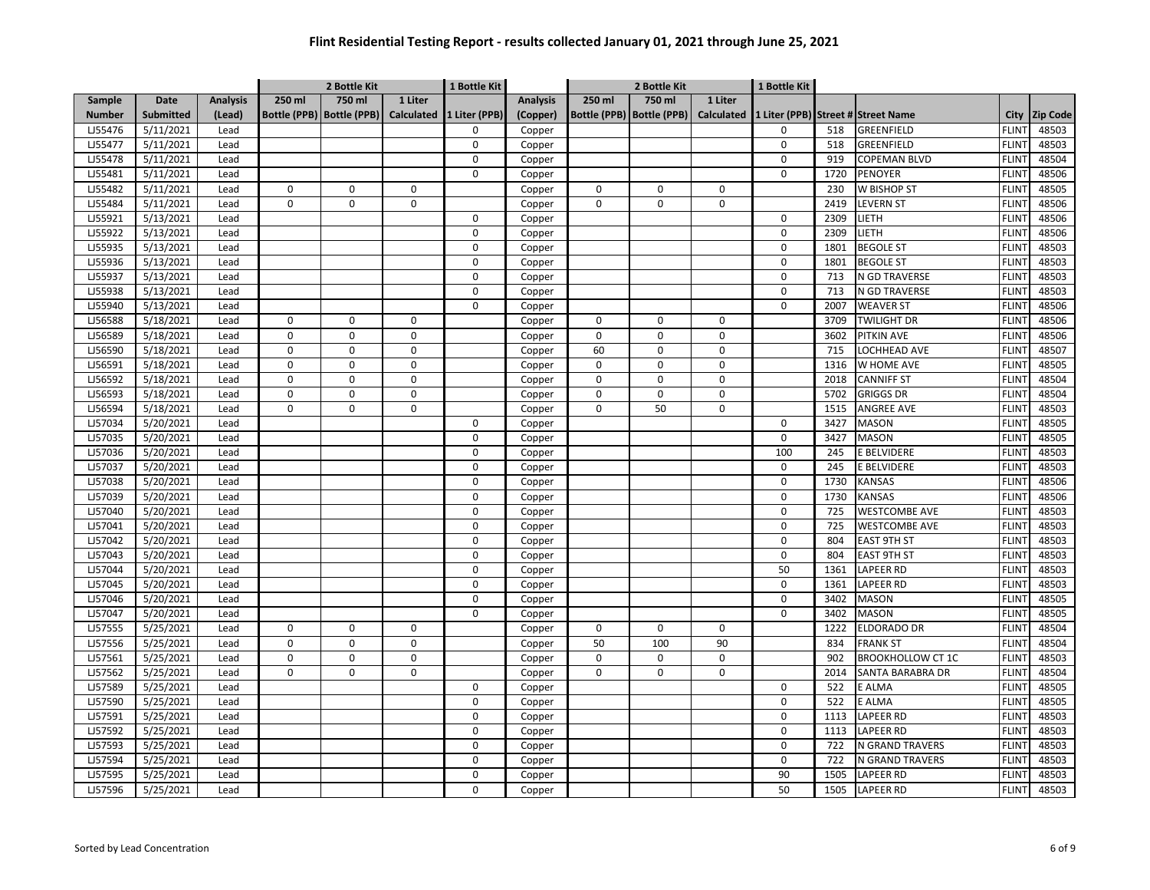|               |                  |                 |                             | 2 Bottle Kit |                   | 1 Bottle Kit  |                 | 2 Bottle Kit |                             |                   | 1 Bottle Kit |      |                                    |              |                 |
|---------------|------------------|-----------------|-----------------------------|--------------|-------------------|---------------|-----------------|--------------|-----------------------------|-------------------|--------------|------|------------------------------------|--------------|-----------------|
| Sample        | Date             | <b>Analysis</b> | 250 ml                      | $750$ ml     | 1 Liter           |               | <b>Analysis</b> | 250 ml       | 750 ml                      | 1 Liter           |              |      |                                    |              |                 |
| <b>Number</b> | <b>Submitted</b> | (Lead)          | Bottle (PPB)   Bottle (PPB) |              | <b>Calculated</b> | 1 Liter (PPB) | (Copper)        |              | Bottle (PPB)   Bottle (PPB) | <b>Calculated</b> |              |      | 1 Liter (PPB) Street # Street Name | City         | <b>Zip Code</b> |
| LJ55476       | 5/11/2021        | Lead            |                             |              |                   | $\Omega$      | Copper          |              |                             |                   | 0            | 518  | GREENFIELD                         | <b>FLINT</b> | 48503           |
| LJ55477       | 5/11/2021        | Lead            |                             |              |                   | $\mathbf 0$   | Copper          |              |                             |                   | 0            | 518  | GREENFIELD                         | <b>FLINT</b> | 48503           |
| LJ55478       | 5/11/2021        | Lead            |                             |              |                   | $\mathbf 0$   | Copper          |              |                             |                   | 0            | 919  | COPEMAN BLVD                       | <b>FLINT</b> | 48504           |
| LJ55481       | 5/11/2021        | Lead            |                             |              |                   | 0             | Copper          |              |                             |                   | 0            | 1720 | <b>PENOYER</b>                     | <b>FLINT</b> | 48506           |
| LJ55482       | 5/11/2021        | Lead            | $\mathbf 0$                 | $\Omega$     | 0                 |               | Copper          | 0            | $\Omega$                    | $\mathbf 0$       |              | 230  | W BISHOP ST                        | <b>FLINT</b> | 48505           |
| LJ55484       | 5/11/2021        | Lead            | $\mathbf 0$                 | $\mathbf 0$  | $\mathbf 0$       |               | Copper          | $\Omega$     | 0                           | $\mathbf 0$       |              | 2419 | <b>LEVERN ST</b>                   | <b>FLINT</b> | 48506           |
| LJ55921       | 5/13/2021        | Lead            |                             |              |                   | 0             | Copper          |              |                             |                   | $\Omega$     | 2309 | LIETH                              | <b>FLINT</b> | 48506           |
| LJ55922       | 5/13/2021        | Lead            |                             |              |                   | $\Omega$      | Copper          |              |                             |                   | 0            | 2309 | LIETH                              | <b>FLINT</b> | 48506           |
| LJ55935       | 5/13/2021        | Lead            |                             |              |                   | 0             | Copper          |              |                             |                   | $\Omega$     | 1801 | <b>BEGOLE ST</b>                   | <b>FLINT</b> | 48503           |
| LJ55936       | 5/13/2021        | Lead            |                             |              |                   | 0             | Copper          |              |                             |                   | $\mathbf 0$  | 1801 | <b>BEGOLE ST</b>                   | <b>FLINT</b> | 48503           |
| LJ55937       | 5/13/2021        | Lead            |                             |              |                   | 0             | Copper          |              |                             |                   | 0            | 713  | N GD TRAVERSE                      | <b>FLINT</b> | 48503           |
| LJ55938       | 5/13/2021        | Lead            |                             |              |                   | $\mathbf 0$   | Copper          |              |                             |                   | $\mathbf 0$  | 713  | N GD TRAVERSE                      | <b>FLINT</b> | 48503           |
| LJ55940       | 5/13/2021        | Lead            |                             |              |                   | $\mathbf 0$   | Copper          |              |                             |                   | 0            | 2007 | <b>WEAVER ST</b>                   | <b>FLINT</b> | 48506           |
| LJ56588       | 5/18/2021        | Lead            | $\mathbf 0$                 | 0            | $\mathbf 0$       |               | Copper          | 0            | 0                           | $\mathbf 0$       |              | 3709 | TWILIGHT DR                        | <b>FLINT</b> | 48506           |
| LJ56589       | 5/18/2021        | Lead            | $\mathbf 0$                 | 0            | $\mathbf 0$       |               | Copper          | 0            | $\Omega$                    | $\mathbf 0$       |              | 3602 | <b>PITKIN AVE</b>                  | <b>FLINT</b> | 48506           |
| LJ56590       | 5/18/2021        | Lead            | $\mathbf 0$                 | 0            | $\mathbf 0$       |               | Copper          | 60           | 0                           | $\mathbf 0$       |              | 715  | LOCHHEAD AVE                       | <b>FLINT</b> | 48507           |
| LJ56591       | 5/18/2021        | Lead            | $\mathbf 0$                 | $\Omega$     | $\mathbf 0$       |               | Copper          | 0            | $\Omega$                    | $\mathbf 0$       |              | 1316 | W HOME AVE                         | <b>FLINT</b> | 48505           |
| LJ56592       | 5/18/2021        | Lead            | $\pmb{0}$                   | 0            | 0                 |               | Copper          | 0            | 0                           | $\mathsf 0$       |              | 2018 | <b>CANNIFF ST</b>                  | <b>FLINT</b> | 48504           |
| LJ56593       | 5/18/2021        | Lead            | $\pmb{0}$                   | $\mathbf 0$  | $\mathbf 0$       |               | Copper          | 0            | 0                           | $\overline{0}$    |              | 5702 | <b>GRIGGS DR</b>                   | <b>FLINT</b> | 48504           |
| LJ56594       | 5/18/2021        | Lead            | $\pmb{0}$                   | 0            | $\pmb{0}$         |               | Copper          | 0            | 50                          | $\mathbf 0$       |              | 1515 | <b>ANGREE AVE</b>                  | <b>FLINT</b> | 48503           |
| LJ57034       | 5/20/2021        | Lead            |                             |              |                   | 0             | Copper          |              |                             |                   | 0            | 3427 | <b>MASON</b>                       | <b>FLINT</b> | 48505           |
| LJ57035       | 5/20/2021        | Lead            |                             |              |                   | $\mathbf 0$   | Copper          |              |                             |                   | 0            | 3427 | <b>MASON</b>                       | <b>FLINT</b> | 48505           |
| LJ57036       | 5/20/2021        | Lead            |                             |              |                   | $\Omega$      | Copper          |              |                             |                   | 100          | 245  | E BELVIDERE                        | <b>FLINT</b> | 48503           |
| LJ57037       | 5/20/2021        | Lead            |                             |              |                   | $\Omega$      | Copper          |              |                             |                   | 0            | 245  | E BELVIDERE                        | <b>FLINT</b> | 48503           |
| LJ57038       | 5/20/2021        | Lead            |                             |              |                   | $\Omega$      | Copper          |              |                             |                   | 0            | 1730 | KANSAS                             | <b>FLINT</b> | 48506           |
| LJ57039       | 5/20/2021        | Lead            |                             |              |                   | $\Omega$      | Copper          |              |                             |                   | $\Omega$     | 1730 | <b>KANSAS</b>                      | <b>FLINT</b> | 48506           |
| LJ57040       | 5/20/2021        | Lead            |                             |              |                   | $\mathbf 0$   | Copper          |              |                             |                   | 0            | 725  | <b>WESTCOMBE AVE</b>               | <b>FLINT</b> | 48503           |
| LJ57041       | 5/20/2021        | Lead            |                             |              |                   | 0             | Copper          |              |                             |                   | 0            | 725  | <b>WESTCOMBE AVE</b>               | <b>FLINT</b> | 48503           |
| LJ57042       | 5/20/2021        | Lead            |                             |              |                   | 0             | Copper          |              |                             |                   | 0            | 804  | EAST 9TH ST                        | <b>FLINT</b> | 48503           |
| LJ57043       | 5/20/2021        | Lead            |                             |              |                   | 0             | Copper          |              |                             |                   | 0            | 804  | <b>EAST 9TH ST</b>                 | <b>FLINT</b> | 48503           |
| LJ57044       | 5/20/2021        | Lead            |                             |              |                   | $\pmb{0}$     | Copper          |              |                             |                   | 50           | 1361 | LAPEER RD                          | <b>FLINT</b> | 48503           |
| LJ57045       | 5/20/2021        | Lead            |                             |              |                   | 0             | Copper          |              |                             |                   | 0            | 1361 | LAPEER RD                          | <b>FLINT</b> | 48503           |
| LJ57046       | 5/20/2021        | Lead            |                             |              |                   | 0             | Copper          |              |                             |                   | 0            | 3402 | <b>MASON</b>                       | <b>FLINT</b> | 48505           |
| LJ57047       | 5/20/2021        | Lead            |                             |              |                   | 0             | Copper          |              |                             |                   | 0            | 3402 | <b>MASON</b>                       | <b>FLINT</b> | 48505           |
| LJ57555       | 5/25/2021        | Lead            | 0                           | $\Omega$     | 0                 |               | Copper          | $\mathsf 0$  | $\Omega$                    | $\mathbf 0$       |              | 1222 | <b>ELDORADO DR</b>                 | <b>FLINT</b> | 48504           |
| LJ57556       | 5/25/2021        | Lead            | $\mathbf 0$                 | $\mathbf 0$  | $\mathbf 0$       |               | Copper          | 50           | 100                         | 90                |              | 834  | <b>FRANK ST</b>                    | <b>FLINT</b> | 48504           |
| LJ57561       | 5/25/2021        | Lead            | $\pmb{0}$                   | 0            | 0                 |               | Copper          | 0            | 0                           | $\mathsf 0$       |              | 902  | <b>BROOKHOLLOW CT 1C</b>           | <b>FLINT</b> | 48503           |
| LJ57562       | 5/25/2021        | Lead            | $\mathbf 0$                 | $\mathbf 0$  | 0                 |               | Copper          | $\Omega$     | $\mathbf 0$                 | $\mathbf 0$       |              | 2014 | SANTA BARABRA DR                   | <b>FLINT</b> | 48504           |
| LJ57589       | 5/25/2021        | Lead            |                             |              |                   | $\Omega$      | Copper          |              |                             |                   | 0            | 522  | E ALMA                             | <b>FLINT</b> | 48505           |
| LJ57590       | 5/25/2021        | Lead            |                             |              |                   | $\Omega$      | Copper          |              |                             |                   | 0            | 522  | E ALMA                             | <b>FLINT</b> | 48505           |
| LJ57591       | 5/25/2021        | Lead            |                             |              |                   | $\Omega$      | Copper          |              |                             |                   | 0            | 1113 | LAPEER RD                          | <b>FLINT</b> | 48503           |
| LJ57592       | 5/25/2021        | Lead            |                             |              |                   | $\Omega$      | Copper          |              |                             |                   | 0            | 1113 | LAPEER RD                          | <b>FLINT</b> | 48503           |
| LJ57593       | 5/25/2021        | Lead            |                             |              |                   | $\Omega$      | Copper          |              |                             |                   | 0            | 722  | N GRAND TRAVERS                    | <b>FLINT</b> | 48503           |
| LJ57594       | 5/25/2021        | Lead            |                             |              |                   | $\Omega$      | Copper          |              |                             |                   | 0            | 722  | N GRAND TRAVERS                    | <b>FLINT</b> | 48503           |
| LJ57595       | 5/25/2021        | Lead            |                             |              |                   | $\Omega$      | Copper          |              |                             |                   | 90           | 1505 | LAPEER RD                          | <b>FLINT</b> | 48503           |
| LJ57596       | 5/25/2021        | Lead            |                             |              |                   | $\Omega$      | Copper          |              |                             |                   | 50           | 1505 | <b>LAPEER RD</b>                   | <b>FLINT</b> | 48503           |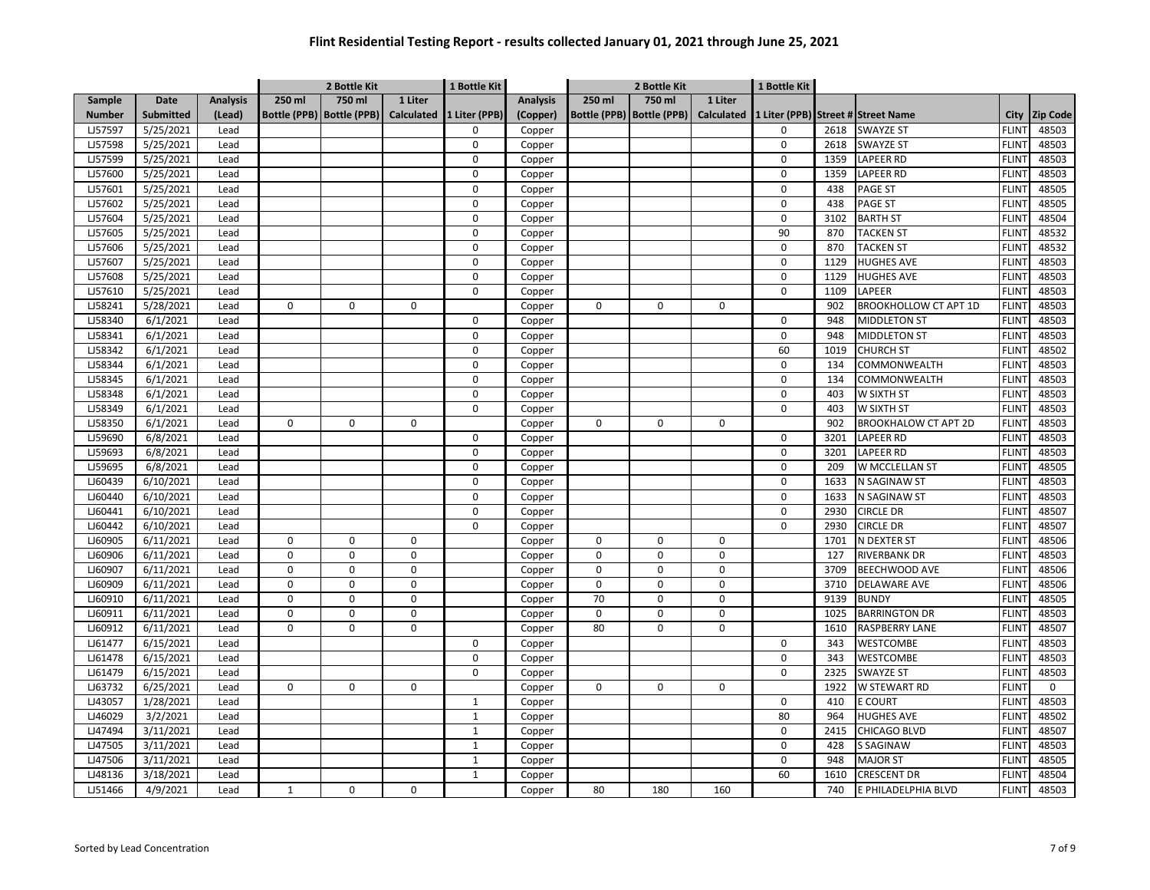|               |                  |                 |              | 2 Bottle Kit                |                   | 1 Bottle Kit  |                 | 2 Bottle Kit |                             |                   | 1 Bottle Kit |      |                                    |              |                 |
|---------------|------------------|-----------------|--------------|-----------------------------|-------------------|---------------|-----------------|--------------|-----------------------------|-------------------|--------------|------|------------------------------------|--------------|-----------------|
| Sample        | <b>Date</b>      | <b>Analysis</b> | 250 ml       | 750 ml                      | 1 Liter           |               | <b>Analysis</b> | 250 ml       | 750 ml                      | 1 Liter           |              |      |                                    |              |                 |
| <b>Number</b> | <b>Submitted</b> | (Lead)          |              | Bottle (PPB)   Bottle (PPB) | <b>Calculated</b> | 1 Liter (PPB) | (Copper)        |              | Bottle (PPB)   Bottle (PPB) | <b>Calculated</b> |              |      | 1 Liter (PPB) Street # Street Name | City         | <b>Zip Code</b> |
| LJ57597       | 5/25/2021        | Lead            |              |                             |                   | 0             | Copper          |              |                             |                   | $\Omega$     | 2618 | <b>SWAYZE ST</b>                   | <b>FLINT</b> | 48503           |
| LJ57598       | 5/25/2021        | Lead            |              |                             |                   | 0             | Copper          |              |                             |                   | 0            | 2618 | <b>SWAYZE ST</b>                   | <b>FLINT</b> | 48503           |
| LJ57599       | 5/25/2021        | Lead            |              |                             |                   | $\Omega$      | Copper          |              |                             |                   | 0            | 1359 | LAPEER RD                          | <b>FLINT</b> | 48503           |
| LJ57600       | 5/25/2021        | Lead            |              |                             |                   | $\Omega$      | Copper          |              |                             |                   | 0            | 1359 | LAPEER RD                          | <b>FLINT</b> | 48503           |
| LJ57601       | 5/25/2021        | Lead            |              |                             |                   | $\Omega$      | Copper          |              |                             |                   | 0            | 438  | <b>PAGE ST</b>                     | <b>FLINT</b> | 48505           |
| LJ57602       | 5/25/2021        | Lead            |              |                             |                   | $\Omega$      | Copper          |              |                             |                   | 0            | 438  | <b>PAGE ST</b>                     | <b>FLINT</b> | 48505           |
| LJ57604       | 5/25/2021        | Lead            |              |                             |                   | $\Omega$      | Copper          |              |                             |                   | 0            | 3102 | <b>BARTH ST</b>                    | <b>FLINT</b> | 48504           |
| LJ57605       | 5/25/2021        | Lead            |              |                             |                   | $\Omega$      | Copper          |              |                             |                   | 90           | 870  | <b>TACKEN ST</b>                   | <b>FLINT</b> | 48532           |
| LJ57606       | 5/25/2021        | Lead            |              |                             |                   | 0             | Copper          |              |                             |                   | $\Omega$     | 870  | TACKEN ST                          | <b>FLINT</b> | 48532           |
| LJ57607       | 5/25/2021        | Lead            |              |                             |                   | 0             | Copper          |              |                             |                   | 0            | 1129 | <b>HUGHES AVE</b>                  | <b>FLINT</b> | 48503           |
| LJ57608       | 5/25/2021        | Lead            |              |                             |                   | 0             | Copper          |              |                             |                   | $\mathbf 0$  | 1129 | <b>HUGHES AVE</b>                  | <b>FLINT</b> | 48503           |
| LJ57610       | 5/25/2021        | Lead            |              |                             |                   | 0             | Copper          |              |                             |                   | 0            | 1109 | LAPEER                             | <b>FLINT</b> | 48503           |
| LJ58241       | 5/28/2021        | Lead            | $\mathbf 0$  | 0                           | $\mathbf 0$       |               | Copper          | $\mathbf 0$  | 0                           | 0                 |              | 902  | <b>BROOKHOLLOW CT APT 1D</b>       | <b>FLINT</b> | 48503           |
| LJ58340       | 6/1/2021         | Lead            |              |                             |                   | 0             | Copper          |              |                             |                   | 0            | 948  | <b>MIDDLETON ST</b>                | <b>FLINT</b> | 48503           |
| LJ58341       | 6/1/2021         | Lead            |              |                             |                   | 0             | Copper          |              |                             |                   | $\Omega$     | 948  | <b>MIDDLETON ST</b>                | <b>FLINT</b> | 48503           |
| LJ58342       | 6/1/2021         | Lead            |              |                             |                   | 0             | Copper          |              |                             |                   | 60           | 1019 | CHURCH ST                          | <b>FLINT</b> | 48502           |
| LJ58344       | 6/1/2021         | Lead            |              |                             |                   | 0             | Copper          |              |                             |                   | $\mathbf 0$  | 134  | COMMONWEALTH                       | <b>FLINT</b> | 48503           |
| LJ58345       | 6/1/2021         | Lead            |              |                             |                   | $\mathbf 0$   | Copper          |              |                             |                   | $\Omega$     | 134  | COMMONWEALTH                       | <b>FLINT</b> | 48503           |
| LJ58348       | 6/1/2021         | Lead            |              |                             |                   | 0             | Copper          |              |                             |                   | $\mathbf 0$  | 403  | W SIXTH ST                         | <b>FLINT</b> | 48503           |
| LJ58349       | 6/1/2021         | Lead            |              |                             |                   | $\mathbf 0$   | Copper          |              |                             |                   | 0            | 403  | W SIXTH ST                         | <b>FLINT</b> | 48503           |
| LJ58350       | 6/1/2021         | Lead            | $\mathbf 0$  | 0                           | $\mathbf 0$       |               | Copper          | $\mathbf 0$  | $\mathbf 0$                 | 0                 |              | 902  | <b>BROOKHALOW CT APT 2D</b>        | <b>FLINT</b> | 48503           |
| LJ59690       | 6/8/2021         | Lead            |              |                             |                   | 0             | Copper          |              |                             |                   | $\Omega$     | 3201 | LAPEER RD                          | <b>FLINT</b> | 48503           |
| LJ59693       | 6/8/2021         | Lead            |              |                             |                   | $\Omega$      | Copper          |              |                             |                   | 0            | 3201 | <b>LAPEER RD</b>                   | <b>FLINT</b> | 48503           |
| LJ59695       | 6/8/2021         | Lead            |              |                             |                   | $\Omega$      | Copper          |              |                             |                   | $\Omega$     | 209  | W MCCLELLAN ST                     | <b>FLINT</b> | 48505           |
| LJ60439       | 6/10/2021        | Lead            |              |                             |                   | $\Omega$      | Copper          |              |                             |                   | 0            | 1633 | N SAGINAW ST                       | <b>FLINT</b> | 48503           |
| LJ60440       | 6/10/2021        | Lead            |              |                             |                   | $\Omega$      | Copper          |              |                             |                   | $\Omega$     | 1633 | N SAGINAW ST                       | <b>FLINT</b> | 48503           |
| LJ60441       | 6/10/2021        | Lead            |              |                             |                   | 0             | Copper          |              |                             |                   | 0            | 2930 | CIRCLE DR                          | <b>FLINT</b> | 48507           |
| LJ60442       | 6/10/2021        | Lead            |              |                             |                   | 0             | Copper          |              |                             |                   | 0            | 2930 | CIRCLE DR                          | <b>FLINT</b> | 48507           |
| LJ60905       | 6/11/2021        | Lead            | 0            | 0                           | 0                 |               | Copper          | 0            | 0                           | 0                 |              | 1701 | N DEXTER ST                        | <b>FLINT</b> | 48506           |
| LJ60906       | 6/11/2021        | Lead            | $\mathbf 0$  | $\mathbf 0$                 | $\mathbf 0$       |               | Copper          | $\mathbf 0$  | $\mathbf 0$                 | $\mathbf 0$       |              | 127  | RIVERBANK DR                       | <b>FLINT</b> | 48503           |
| LJ60907       | 6/11/2021        | Lead            | $\mathbf 0$  | $\mathbf 0$                 | $\mathbf 0$       |               | Copper          | 0            | 0                           | $\mathbf 0$       |              | 3709 | BEECHWOOD AVE                      | <b>FLINT</b> | 48506           |
| LJ60909       | 6/11/2021        | Lead            | 0            | 0                           | 0                 |               | Copper          | 0            | $\mathbf 0$                 | 0                 |              | 3710 | <b>DELAWARE AVE</b>                | <b>FLINT</b> | 48506           |
| LJ60910       | 6/11/2021        | Lead            | $\mathbf 0$  | 0                           | 0                 |               | Copper          | 70           | $\mathbf 0$                 | $\mathbf 0$       |              | 9139 | <b>BUNDY</b>                       | <b>FLINT</b> | 48505           |
| LJ60911       | 6/11/2021        | Lead            | $\pmb{0}$    | $\mathbf 0$                 | 0                 |               | Copper          | 0            | $\mathbf 0$                 | 0                 |              | 1025 | <b>BARRINGTON DR</b>               | <b>FLINT</b> | 48503           |
| LJ60912       | 6/11/2021        | Lead            | 0            | $\Omega$                    | 0                 |               | Copper          | 80           | $\mathbf 0$                 | 0                 |              | 1610 | RASPBERRY LANE                     | <b>FLINT</b> | 48507           |
| LJ61477       | 6/15/2021        | Lead            |              |                             |                   | 0             | Copper          |              |                             |                   | 0            | 343  | <b>WESTCOMBE</b>                   | <b>FLINT</b> | 48503           |
| LJ61478       | 6/15/2021        | Lead            |              |                             |                   | $\mathbf 0$   | Copper          |              |                             |                   | $\mathbf 0$  | 343  | <b>WESTCOMBE</b>                   | <b>FLINT</b> | 48503           |
| LJ61479       | 6/15/2021        | Lead            |              |                             |                   | 0             | Copper          |              |                             |                   | 0            | 2325 | <b>SWAYZE ST</b>                   | <b>FLINT</b> | 48503           |
| LJ63732       | 6/25/2021        | Lead            | $\pmb{0}$    | $\mathbf 0$                 | $\mathsf 0$       |               | Copper          | 0            | $\mathbf 0$                 | 0                 |              | 1922 | W STEWART RD                       | <b>FLINT</b> | $\mathbf 0$     |
| LJ43057       | 1/28/2021        | Lead            |              |                             |                   | $\mathbf{1}$  | Copper          |              |                             |                   | 0            | 410  | <b>E COURT</b>                     | <b>FLINT</b> | 48503           |
| LJ46029       | 3/2/2021         | Lead            |              |                             |                   | $\mathbf{1}$  | Copper          |              |                             |                   | 80           | 964  | <b>HUGHES AVE</b>                  | <b>FLINT</b> | 48502           |
| LJ47494       | 3/11/2021        | Lead            |              |                             |                   | $\mathbf{1}$  | Copper          |              |                             |                   | 0            | 2415 | CHICAGO BLVD                       | <b>FLINT</b> | 48507           |
| LJ47505       | 3/11/2021        | Lead            |              |                             |                   | $\mathbf{1}$  | Copper          |              |                             |                   | $\Omega$     | 428  | S SAGINAW                          | <b>FLIN</b>  | 48503           |
| LJ47506       | 3/11/2021        | Lead            |              |                             |                   | $\mathbf{1}$  | Copper          |              |                             |                   | 0            | 948  | <b>MAJOR ST</b>                    | <b>FLINT</b> | 48505           |
| LJ48136       | 3/18/2021        | Lead            |              |                             |                   | $\mathbf{1}$  | Copper          |              |                             |                   | 60           | 1610 | <b>CRESCENT DR</b>                 | <b>FLINT</b> | 48504           |
| LJ51466       | 4/9/2021         | Lead            | $\mathbf{1}$ | 0                           | 0                 |               | Copper          | 80           | 180                         | 160               |              | 740  | E PHILADELPHIA BLVD                | <b>FLINT</b> | 48503           |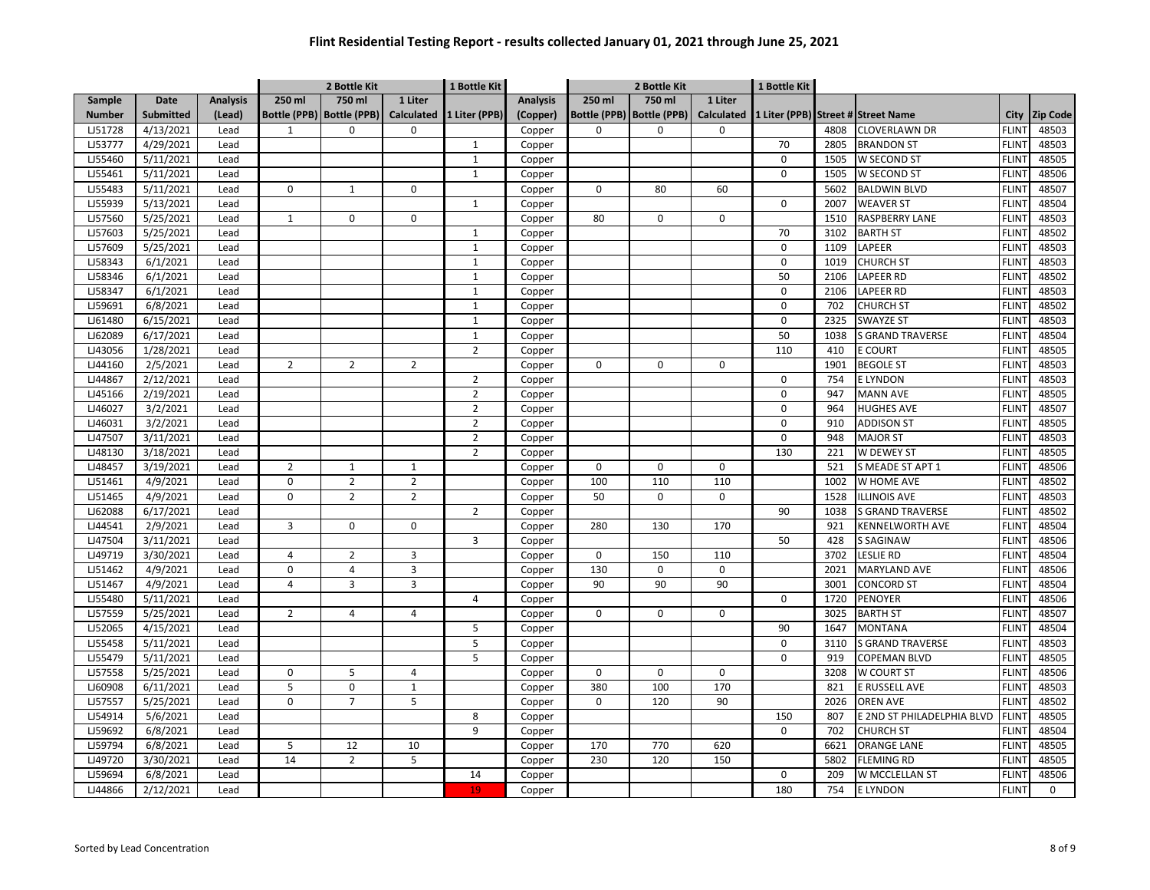|                |                  |                 |                | 2 Bottle Kit                |                   | 1 Bottle Kit   |                 | 2 Bottle Kit |                             |                   | 1 Bottle Kit |      |                                    |              |                 |
|----------------|------------------|-----------------|----------------|-----------------------------|-------------------|----------------|-----------------|--------------|-----------------------------|-------------------|--------------|------|------------------------------------|--------------|-----------------|
| Sample         | <b>Date</b>      | <b>Analysis</b> | 250 ml         | 750 ml                      | 1 Liter           |                | <b>Analysis</b> | 250 ml       | 750 ml                      | 1 Liter           |              |      |                                    |              |                 |
| <b>Number</b>  | <b>Submitted</b> | (Lead)          |                | Bottle (PPB)   Bottle (PPB) | <b>Calculated</b> | 1 Liter (PPB)  | (Copper)        |              | Bottle (PPB)   Bottle (PPB) | <b>Calculated</b> |              |      | 1 Liter (PPB) Street # Street Name | City         | <b>Zip Code</b> |
| LJ51728        | 4/13/2021        | Lead            | $\mathbf{1}$   | $\Omega$                    | $\Omega$          |                | Copper          | $\Omega$     | $\Omega$                    | 0                 |              | 4808 | <b>CLOVERLAWN DR</b>               | <b>FLINT</b> | 48503           |
| <b>LJ53777</b> | 4/29/2021        | Lead            |                |                             |                   | $\mathbf{1}$   | Copper          |              |                             |                   | 70           | 2805 | <b>BRANDON ST</b>                  | <b>FLINT</b> | 48503           |
| LJ55460        | 5/11/2021        | Lead            |                |                             |                   | $\mathbf 1$    | Copper          |              |                             |                   | 0            | 1505 | W SECOND ST                        | <b>FLINT</b> | 48505           |
| LJ55461        | 5/11/2021        | Lead            |                |                             |                   | $\mathbf{1}$   | Copper          |              |                             |                   | $\Omega$     | 1505 | W SECOND ST                        | <b>FLINT</b> | 48506           |
| LJ55483        | 5/11/2021        | Lead            | 0              | $\mathbf{1}$                | $\mathbf 0$       |                | Copper          | 0            | 80                          | 60                |              | 5602 | <b>BALDWIN BLVD</b>                | <b>FLINT</b> | 48507           |
| LJ55939        | 5/13/2021        | Lead            |                |                             |                   | $\mathbf{1}$   | Copper          |              |                             |                   | 0            | 2007 | <b>WEAVER ST</b>                   | <b>FLINT</b> | 48504           |
| LJ57560        | 5/25/2021        | Lead            | $\mathbf{1}$   | 0                           | 0                 |                | Copper          | 80           | 0                           | $\mathbf 0$       |              | 1510 | <b>RASPBERRY LANE</b>              | <b>FLINT</b> | 48503           |
| LJ57603        | 5/25/2021        | Lead            |                |                             |                   | $\mathbf{1}$   | Copper          |              |                             |                   | 70           | 3102 | <b>BARTH ST</b>                    | <b>FLINT</b> | 48502           |
| LJ57609        | 5/25/2021        | Lead            |                |                             |                   | $\mathbf{1}$   | Copper          |              |                             |                   | 0            | 1109 | LAPEER                             | <b>FLINT</b> | 48503           |
| LJ58343        | 6/1/2021         | Lead            |                |                             |                   | $\mathbf{1}$   | Copper          |              |                             |                   | 0            | 1019 | <b>CHURCH ST</b>                   | <b>FLINT</b> | 48503           |
| LJ58346        | 6/1/2021         | Lead            |                |                             |                   | $\mathbf{1}$   | Copper          |              |                             |                   | 50           | 2106 | LAPEER RD                          | <b>FLINT</b> | 48502           |
| LJ58347        | 6/1/2021         | Lead            |                |                             |                   | $\mathbf{1}$   | Copper          |              |                             |                   | $\mathbf 0$  | 2106 | <b>LAPEER RD</b>                   | <b>FLINT</b> | 48503           |
| LJ59691        | 6/8/2021         | Lead            |                |                             |                   | $1\,$          | Copper          |              |                             |                   | $\Omega$     | 702  | <b>CHURCH ST</b>                   | <b>FLINT</b> | 48502           |
| LJ61480        | 6/15/2021        | Lead            |                |                             |                   | $1\,$          | Copper          |              |                             |                   | 0            | 2325 | <b>SWAYZE ST</b>                   | <b>FLINT</b> | 48503           |
| LJ62089        | 6/17/2021        | Lead            |                |                             |                   | $\mathbf 1$    | Copper          |              |                             |                   | 50           | 1038 | <b>S GRAND TRAVERSE</b>            | <b>FLINT</b> | 48504           |
| LJ43056        | 1/28/2021        | Lead            |                |                             |                   | $\overline{2}$ | Copper          |              |                             |                   | 110          | 410  | <b>E COURT</b>                     | <b>FLINT</b> | 48505           |
| LJ44160        | 2/5/2021         | Lead            | $\overline{2}$ | $\overline{2}$              | $\overline{2}$    |                | Copper          | $\Omega$     | $\Omega$                    | $\mathbf 0$       |              | 1901 | <b>BEGOLE ST</b>                   | <b>FLINT</b> | 48503           |
| LJ44867        | 2/12/2021        | Lead            |                |                             |                   | $\overline{2}$ | Copper          |              |                             |                   | 0            | 754  | <b>ELYNDON</b>                     | <b>FLINT</b> | 48503           |
| LJ45166        | 2/19/2021        | Lead            |                |                             |                   | $\overline{2}$ | Copper          |              |                             |                   | 0            | 947  | <b>MANN AVE</b>                    | <b>FLINT</b> | 48505           |
| LJ46027        | 3/2/2021         | Lead            |                |                             |                   | $\overline{2}$ | Copper          |              |                             |                   | 0            | 964  | <b>HUGHES AVE</b>                  | <b>FLINT</b> | 48507           |
| LJ46031        | 3/2/2021         | Lead            |                |                             |                   | $\overline{2}$ | Copper          |              |                             |                   | $\Omega$     | 910  | <b>ADDISON ST</b>                  | <b>FLINT</b> | 48505           |
| LJ47507        | 3/11/2021        | Lead            |                |                             |                   | $\overline{2}$ | Copper          |              |                             |                   | 0            | 948  | <b>MAJOR ST</b>                    | <b>FLINT</b> | 48503           |
| LJ48130        | 3/18/2021        | Lead            |                |                             |                   | $\overline{2}$ | Copper          |              |                             |                   | 130          | 221  | W DEWEY ST                         | <b>FLINT</b> | 48505           |
| LJ48457        | 3/19/2021        | Lead            | $\overline{2}$ | $\mathbf 1$                 | $\mathbf{1}$      |                | Copper          | $\Omega$     | $\Omega$                    | $\Omega$          |              | 521  | S MEADE ST APT 1                   | <b>FLINT</b> | 48506           |
| LJ51461        | 4/9/2021         | Lead            | $\mathbf 0$    | $\overline{2}$              | $\overline{2}$    |                | Copper          | 100          | 110                         | 110               |              | 1002 | W HOME AVE                         | <b>FLINT</b> | 48502           |
| LJ51465        | 4/9/2021         | Lead            | 0              | $\overline{2}$              | $\overline{2}$    |                | Copper          | 50           | $\Omega$                    | $\Omega$          |              | 1528 | <b>ILLINOIS AVE</b>                | <b>FLINT</b> | 48503           |
| LJ62088        | 6/17/2021        | Lead            |                |                             |                   | $\overline{2}$ | Copper          |              |                             |                   | 90           | 1038 | <b>S GRAND TRAVERSE</b>            | <b>FLINT</b> | 48502           |
| LJ44541        | 2/9/2021         | Lead            | 3              | 0                           | $\mathbf 0$       |                | Copper          | 280          | 130                         | 170               |              | 921  | <b>KENNELWORTH AVE</b>             | <b>FLINT</b> | 48504           |
| LJ47504        | 3/11/2021        | Lead            |                |                             |                   | 3              | Copper          |              |                             |                   | 50           | 428  | <b>S SAGINAW</b>                   | <b>FLINT</b> | 48506           |
| LJ49719        | 3/30/2021        | Lead            | $\overline{4}$ | $\overline{2}$              | $\overline{3}$    |                | Copper          | $\Omega$     | 150                         | 110               |              | 3702 | LESLIE RD                          | <b>FLINT</b> | 48504           |
| LJ51462        | 4/9/2021         | Lead            | $\mathbf 0$    | $\overline{4}$              | 3                 |                | Copper          | 130          | 0                           | $\mathbf 0$       |              | 2021 | <b>MARYLAND AVE</b>                | <b>FLINT</b> | 48506           |
| LJ51467        | 4/9/2021         | Lead            | $\overline{4}$ | 3                           | 3                 |                | Copper          | 90           | 90                          | 90                |              | 3001 | CONCORD ST                         | <b>FLINT</b> | 48504           |
| LJ55480        | 5/11/2021        | Lead            |                |                             |                   | $\overline{4}$ | Copper          |              |                             |                   | 0            | 1720 | <b>PENOYER</b>                     | <b>FLINT</b> | 48506           |
| LJ57559        | 5/25/2021        | Lead            | $\overline{2}$ | $\overline{4}$              | $\overline{4}$    |                | Copper          | $\Omega$     | 0                           | $\mathbf 0$       |              | 3025 | <b>BARTH ST</b>                    | <b>FLINT</b> | 48507           |
| LJ52065        | 4/15/2021        | Lead            |                |                             |                   | 5              | Copper          |              |                             |                   | 90           | 1647 | <b>MONTANA</b>                     | <b>FLINT</b> | 48504           |
| LJ55458        | 5/11/2021        | Lead            |                |                             |                   | 5              | Copper          |              |                             |                   | 0            | 3110 | <b>S GRAND TRAVERSE</b>            | <b>FLINT</b> | 48503           |
| LJ55479        | 5/11/2021        | Lead            |                |                             |                   | 5              | Copper          |              |                             |                   | 0            | 919  | COPEMAN BLVD                       | <b>FLINT</b> | 48505           |
| LJ57558        | 5/25/2021        | Lead            | $\mathbf 0$    | 5                           | $\overline{4}$    |                | Copper          | $\mathbf 0$  | 0                           | $\mathbf 0$       |              | 3208 | W COURT ST                         | <b>FLINT</b> | 48506           |
| LJ60908        | 6/11/2021        | Lead            | 5              | $\Omega$                    | $\mathbf{1}$      |                | Copper          | 380          | 100                         | 170               |              | 821  | E RUSSELL AVE                      | <b>FLINT</b> | 48503           |
| LJ57557        | 5/25/2021        | Lead            | $\mathbf 0$    | $\overline{7}$              | 5                 |                | Copper          | $\Omega$     | 120                         | 90                |              | 2026 | <b>OREN AVE</b>                    | <b>FLINT</b> | 48502           |
| LJ54914        | 5/6/2021         | Lead            |                |                             |                   | 8              | Copper          |              |                             |                   | 150          | 807  | E 2ND ST PHILADELPHIA BLVD         | <b>FLINT</b> | 48505           |
| LJ59692        | 6/8/2021         | Lead            |                |                             |                   | 9              | Copper          |              |                             |                   | 0            | 702  | <b>CHURCH ST</b>                   | <b>FLINT</b> | 48504           |
| LJ59794        | 6/8/2021         | Lead            | 5              | 12                          | 10                |                | Copper          | 170          | 770                         | 620               |              | 6621 | <b>ORANGE LANE</b>                 | <b>FLINT</b> | 48505           |
| LJ49720        | 3/30/2021        | Lead            | 14             | $\overline{2}$              | 5                 |                | Copper          | 230          | 120                         | 150               |              | 5802 | FLEMING RD                         | <b>FLINT</b> | 48505           |
| LJ59694        | 6/8/2021         | Lead            |                |                             |                   | 14             | Copper          |              |                             |                   | 0            | 209  | W MCCLELLAN ST                     | <b>FLINT</b> | 48506           |
| LJ44866        | 2/12/2021        | Lead            |                |                             |                   | 19             | Copper          |              |                             |                   | 180          | 754  | <b>ELYNDON</b>                     | <b>FLINT</b> | 0               |